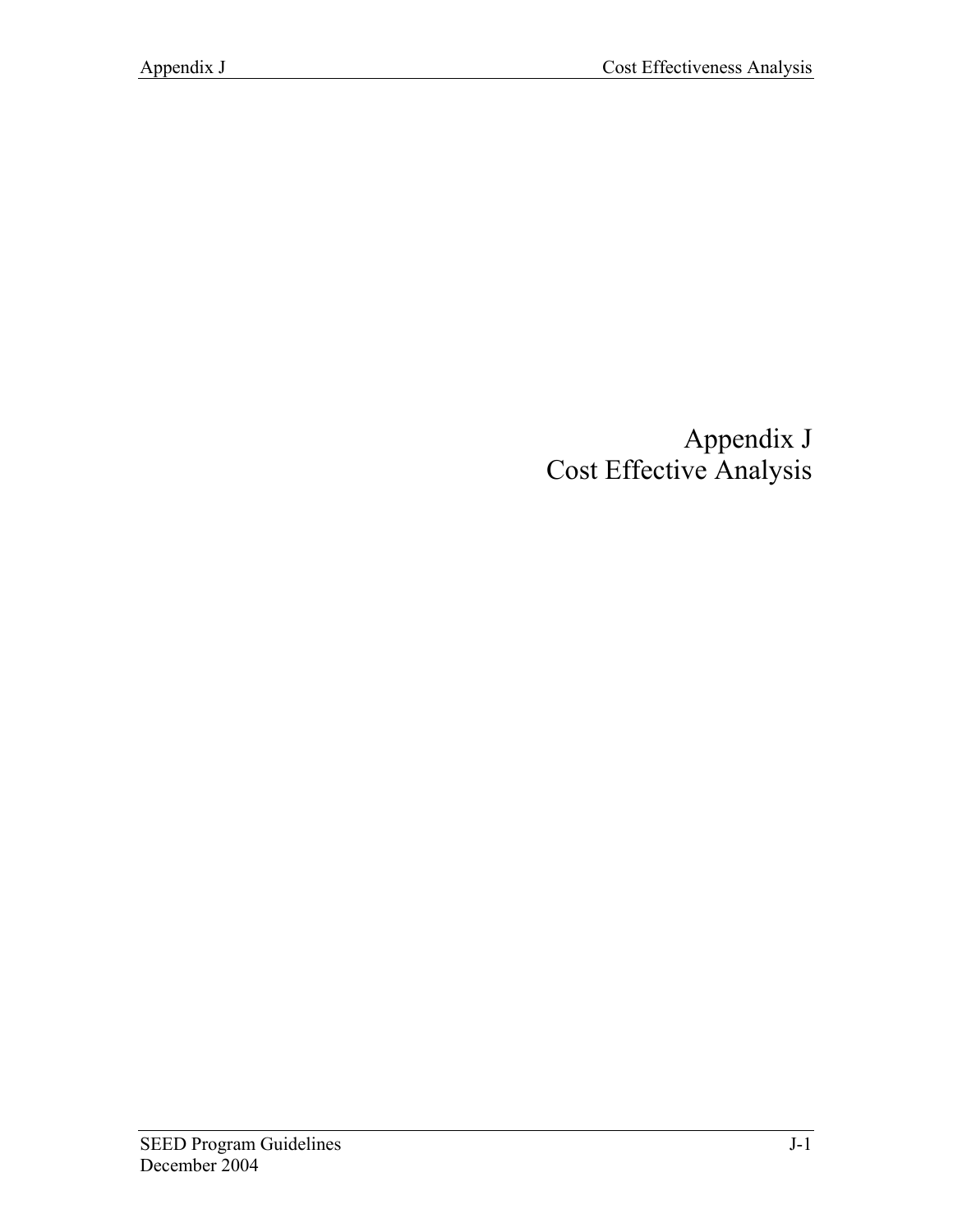# Appendix J Cost Effective Analysis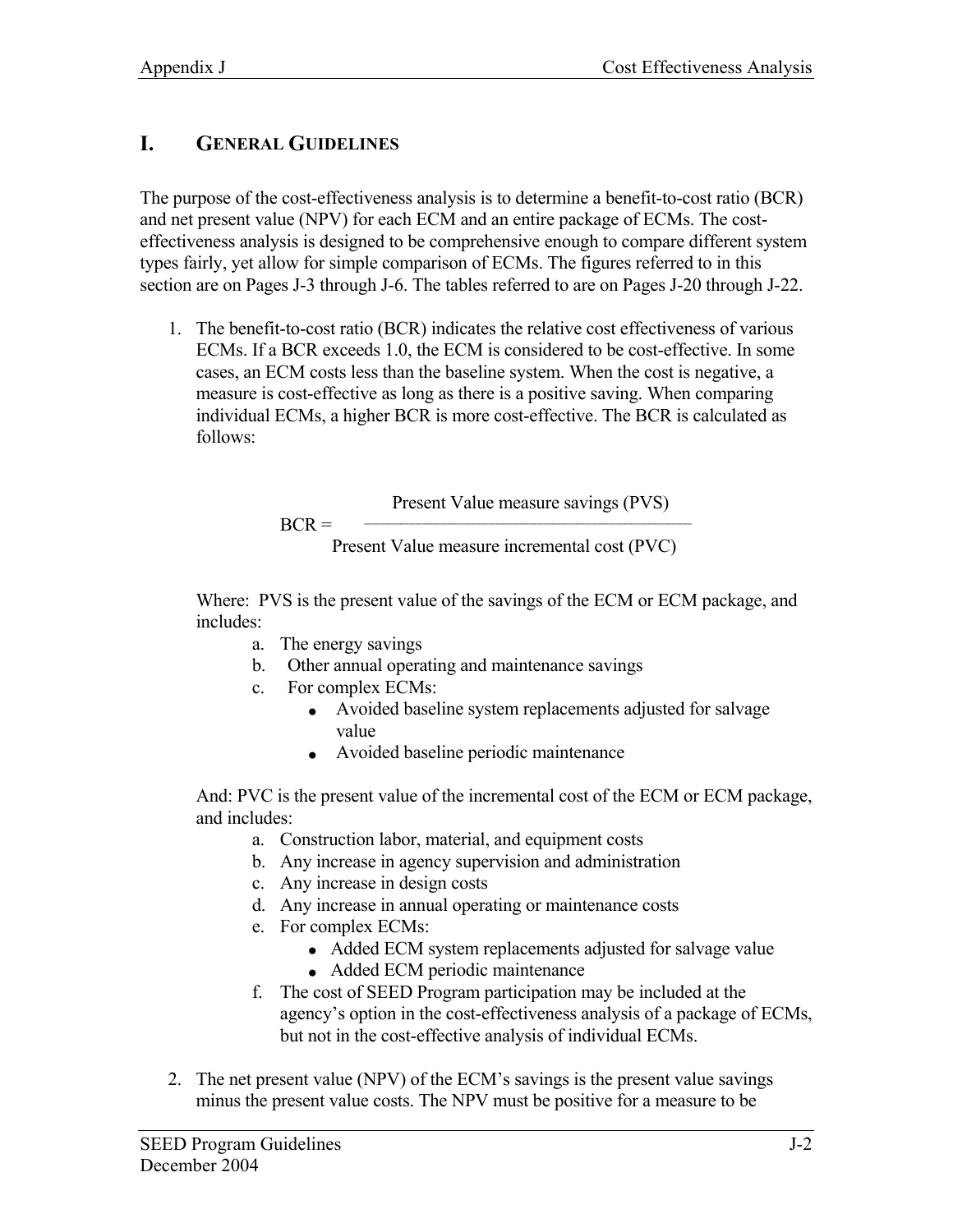# **I. GENERAL GUIDELINES**

The purpose of the cost-effectiveness analysis is to determine a benefit-to-cost ratio (BCR) and net present value (NPV) for each ECM and an entire package of ECMs. The costeffectiveness analysis is designed to be comprehensive enough to compare different system types fairly, yet allow for simple comparison of ECMs. The figures referred to in this section are on Pages J-3 through J-6. The tables referred to are on Pages J-20 through J-22.

1. The benefit-to-cost ratio (BCR) indicates the relative cost effectiveness of various ECMs. If a BCR exceeds 1.0, the ECM is considered to be cost-effective. In some cases, an ECM costs less than the baseline system. When the cost is negative, a measure is cost-effective as long as there is a positive saving. When comparing individual ECMs, a higher BCR is more cost-effective. The BCR is calculated as follows:

> Present Value measure savings (PVS)  $BCR =$   $\qquad \qquad$ Present Value measure incremental cost (PVC)

Where: PVS is the present value of the savings of the ECM or ECM package, and includes:

- a. The energy savings
- b. Other annual operating and maintenance savings
- c. For complex ECMs:
	- Avoided baseline system replacements adjusted for salvage value
	- Avoided baseline periodic maintenance

And: PVC is the present value of the incremental cost of the ECM or ECM package, and includes:

- a. Construction labor, material, and equipment costs
- b. Any increase in agency supervision and administration
- c. Any increase in design costs
- d. Any increase in annual operating or maintenance costs
- e. For complex ECMs:
	- Added ECM system replacements adjusted for salvage value
	- Added ECM periodic maintenance
- f. The cost of SEED Program participation may be included at the agency's option in the cost-effectiveness analysis of a package of ECMs, but not in the cost-effective analysis of individual ECMs.
- 2. The net present value (NPV) of the ECM's savings is the present value savings minus the present value costs. The NPV must be positive for a measure to be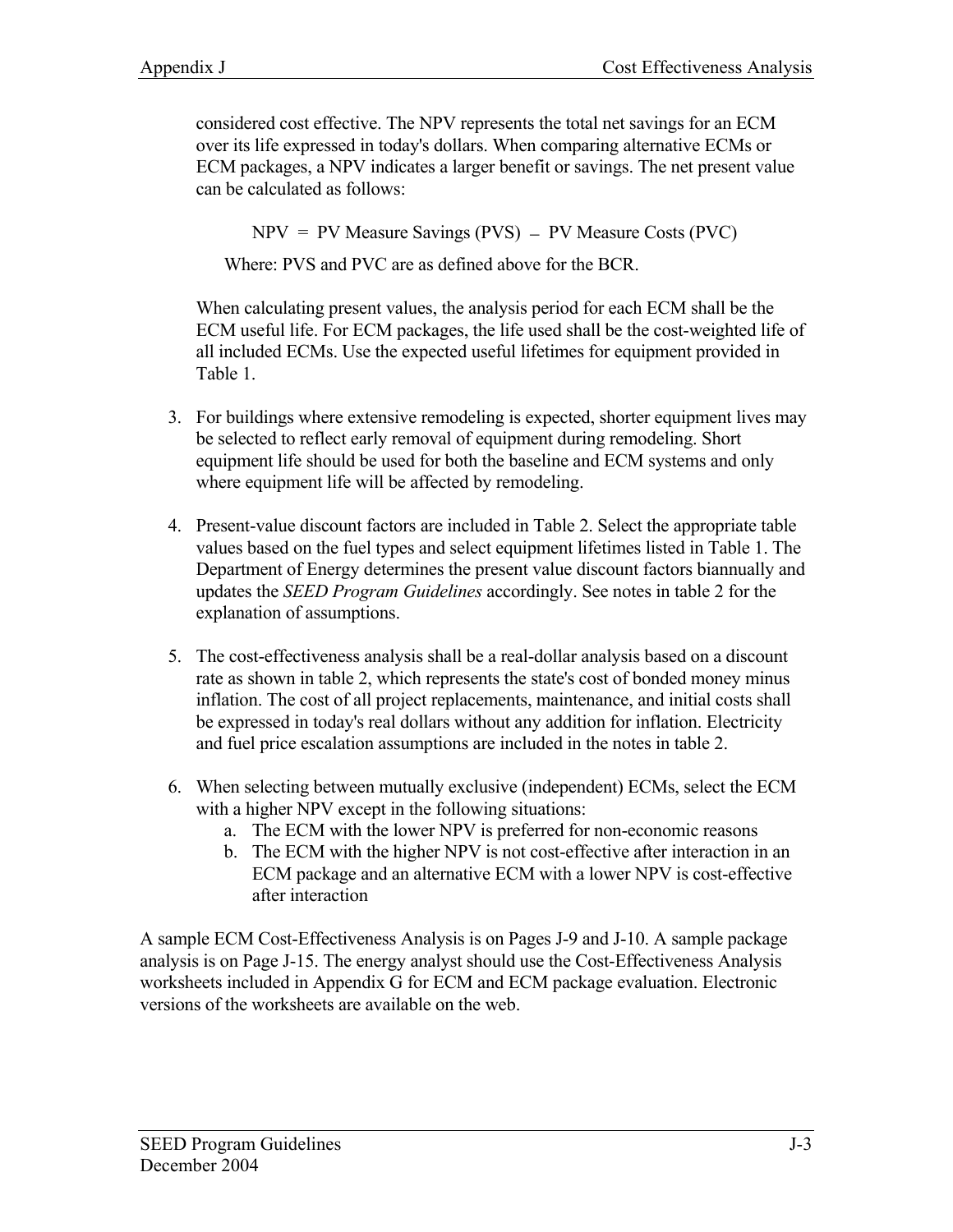considered cost effective. The NPV represents the total net savings for an ECM over its life expressed in today's dollars. When comparing alternative ECMs or ECM packages, a NPV indicates a larger benefit or savings. The net present value can be calculated as follows:

 $NPV = PV$  Measure Savings (PVS) – PV Measure Costs (PVC)

Where: PVS and PVC are as defined above for the BCR.

When calculating present values, the analysis period for each ECM shall be the ECM useful life. For ECM packages, the life used shall be the cost-weighted life of all included ECMs. Use the expected useful lifetimes for equipment provided in Table 1.

- 3. For buildings where extensive remodeling is expected, shorter equipment lives may be selected to reflect early removal of equipment during remodeling. Short equipment life should be used for both the baseline and ECM systems and only where equipment life will be affected by remodeling.
- 4. Present-value discount factors are included in Table 2. Select the appropriate table values based on the fuel types and select equipment lifetimes listed in Table 1. The Department of Energy determines the present value discount factors biannually and updates the *SEED Program Guidelines* accordingly. See notes in table 2 for the explanation of assumptions.
- 5. The cost-effectiveness analysis shall be a real-dollar analysis based on a discount rate as shown in table 2, which represents the state's cost of bonded money minus inflation. The cost of all project replacements, maintenance, and initial costs shall be expressed in today's real dollars without any addition for inflation. Electricity and fuel price escalation assumptions are included in the notes in table 2.
- 6. When selecting between mutually exclusive (independent) ECMs, select the ECM with a higher NPV except in the following situations:
	- a. The ECM with the lower NPV is preferred for non-economic reasons
	- b. The ECM with the higher NPV is not cost-effective after interaction in an ECM package and an alternative ECM with a lower NPV is cost-effective after interaction

A sample ECM Cost-Effectiveness Analysis is on Pages J-9 and J-10. A sample package analysis is on Page J-15. The energy analyst should use the Cost-Effectiveness Analysis worksheets included in Appendix G for ECM and ECM package evaluation. Electronic versions of the worksheets are available on the web.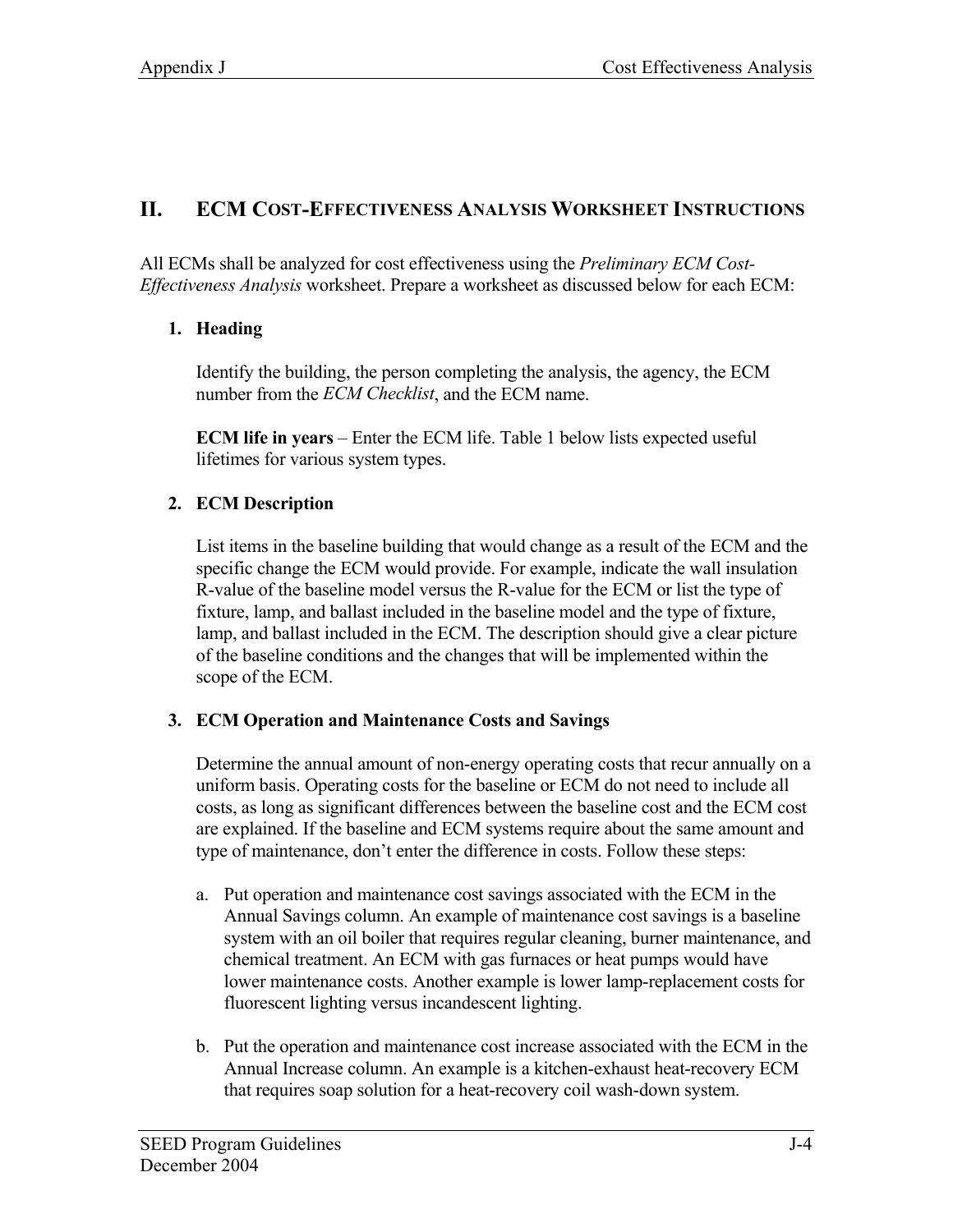# **II. ECM COST-EFFECTIVENESS ANALYSIS WORKSHEET INSTRUCTIONS**

All ECMs shall be analyzed for cost effectiveness using the *Preliminary ECM Cost-Effectiveness Analysis* worksheet. Prepare a worksheet as discussed below for each ECM:

# **1. Heading**

Identify the building, the person completing the analysis, the agency, the ECM number from the *ECM Checklist*, and the ECM name.

**ECM life in years** – Enter the ECM life. Table 1 below lists expected useful lifetimes for various system types.

# **2. ECM Description**

List items in the baseline building that would change as a result of the ECM and the specific change the ECM would provide. For example, indicate the wall insulation R-value of the baseline model versus the R-value for the ECM or list the type of fixture, lamp, and ballast included in the baseline model and the type of fixture, lamp, and ballast included in the ECM. The description should give a clear picture of the baseline conditions and the changes that will be implemented within the scope of the ECM.

#### **3. ECM Operation and Maintenance Costs and Savings**

Determine the annual amount of non-energy operating costs that recur annually on a uniform basis. Operating costs for the baseline or ECM do not need to include all costs, as long as significant differences between the baseline cost and the ECM cost are explained. If the baseline and ECM systems require about the same amount and type of maintenance, don't enter the difference in costs. Follow these steps:

- a. Put operation and maintenance cost savings associated with the ECM in the Annual Savings column. An example of maintenance cost savings is a baseline system with an oil boiler that requires regular cleaning, burner maintenance, and chemical treatment. An ECM with gas furnaces or heat pumps would have lower maintenance costs. Another example is lower lamp-replacement costs for fluorescent lighting versus incandescent lighting.
- b. Put the operation and maintenance cost increase associated with the ECM in the Annual Increase column. An example is a kitchen-exhaust heat-recovery ECM that requires soap solution for a heat-recovery coil wash-down system.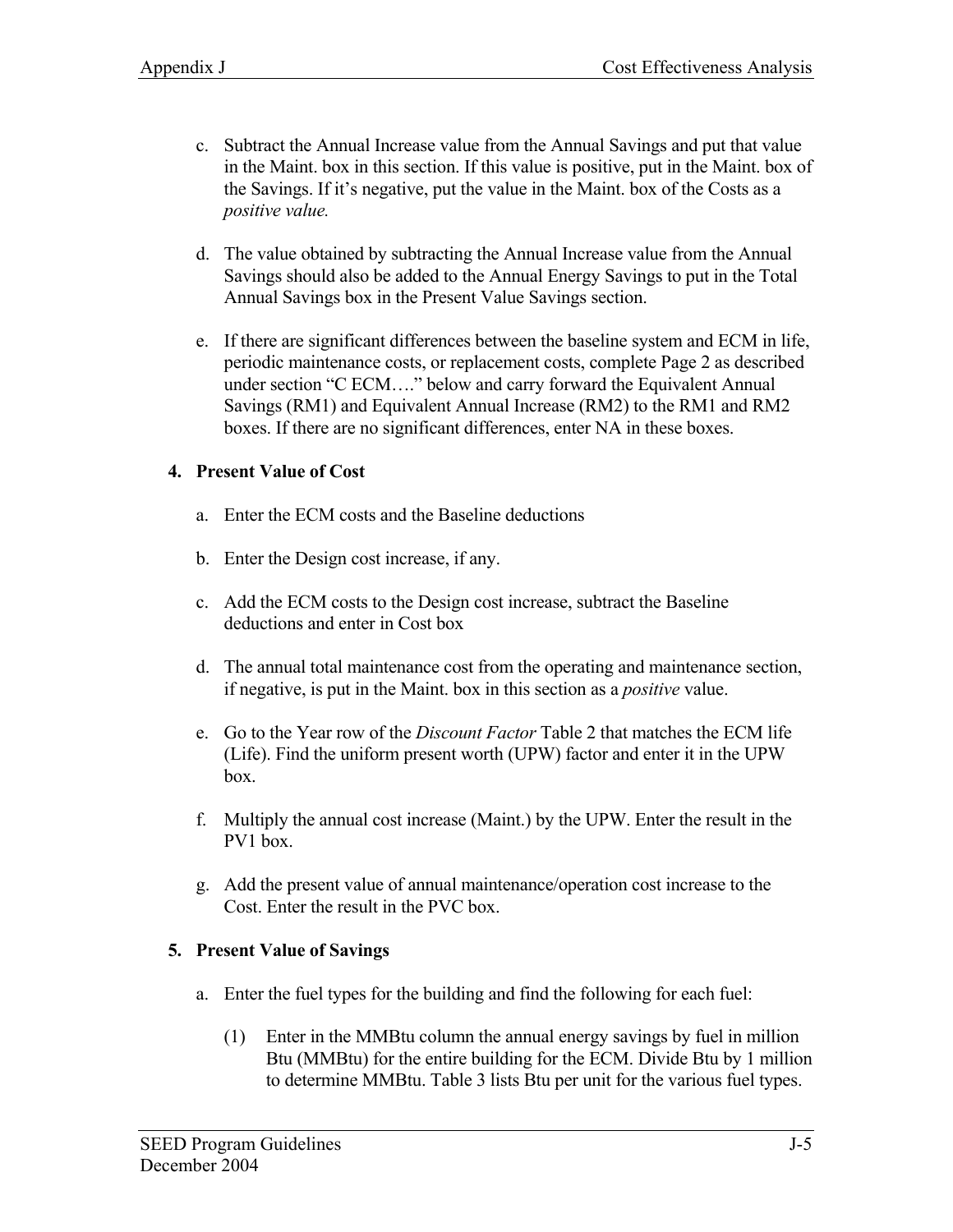- c. Subtract the Annual Increase value from the Annual Savings and put that value in the Maint. box in this section. If this value is positive, put in the Maint. box of the Savings. If it's negative, put the value in the Maint. box of the Costs as a *positive value.*
- d. The value obtained by subtracting the Annual Increase value from the Annual Savings should also be added to the Annual Energy Savings to put in the Total Annual Savings box in the Present Value Savings section.
- e. If there are significant differences between the baseline system and ECM in life, periodic maintenance costs, or replacement costs, complete Page 2 as described under section "C ECM…." below and carry forward the Equivalent Annual Savings (RM1) and Equivalent Annual Increase (RM2) to the RM1 and RM2 boxes. If there are no significant differences, enter NA in these boxes.

#### **4. Present Value of Cost**

- a. Enter the ECM costs and the Baseline deductions
- b. Enter the Design cost increase, if any.
- c. Add the ECM costs to the Design cost increase, subtract the Baseline deductions and enter in Cost box
- d. The annual total maintenance cost from the operating and maintenance section, if negative, is put in the Maint. box in this section as a *positive* value.
- e. Go to the Year row of the *Discount Factor* Table 2 that matches the ECM life (Life). Find the uniform present worth (UPW) factor and enter it in the UPW box.
- f. Multiply the annual cost increase (Maint.) by the UPW. Enter the result in the PV1 box.
- g. Add the present value of annual maintenance/operation cost increase to the Cost. Enter the result in the PVC box.

# **5. Present Value of Savings**

- a. Enter the fuel types for the building and find the following for each fuel:
	- (1) Enter in the MMBtu column the annual energy savings by fuel in million Btu (MMBtu) for the entire building for the ECM. Divide Btu by 1 million to determine MMBtu. Table 3 lists Btu per unit for the various fuel types.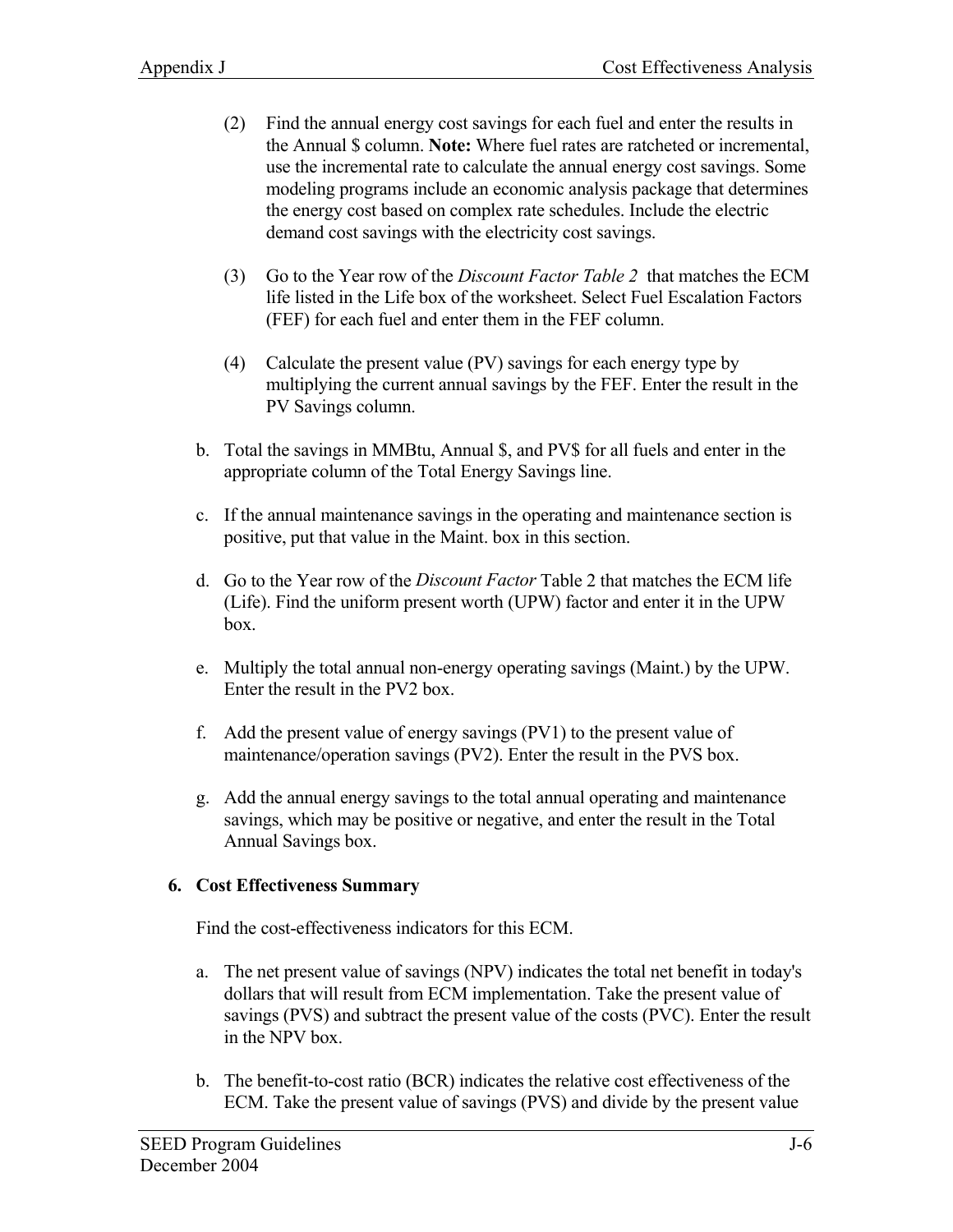- (2) Find the annual energy cost savings for each fuel and enter the results in the Annual \$ column. **Note:** Where fuel rates are ratcheted or incremental, use the incremental rate to calculate the annual energy cost savings. Some modeling programs include an economic analysis package that determines the energy cost based on complex rate schedules. Include the electric demand cost savings with the electricity cost savings.
- (3) Go to the Year row of the *Discount Factor Table 2* that matches the ECM life listed in the Life box of the worksheet. Select Fuel Escalation Factors (FEF) for each fuel and enter them in the FEF column.
- (4) Calculate the present value (PV) savings for each energy type by multiplying the current annual savings by the FEF. Enter the result in the PV Savings column.
- b. Total the savings in MMBtu, Annual \$, and PV\$ for all fuels and enter in the appropriate column of the Total Energy Savings line.
- c. If the annual maintenance savings in the operating and maintenance section is positive, put that value in the Maint. box in this section.
- d. Go to the Year row of the *Discount Factor* Table 2 that matches the ECM life (Life). Find the uniform present worth (UPW) factor and enter it in the UPW box.
- e. Multiply the total annual non-energy operating savings (Maint.) by the UPW. Enter the result in the PV2 box.
- f. Add the present value of energy savings (PV1) to the present value of maintenance/operation savings (PV2). Enter the result in the PVS box.
- g. Add the annual energy savings to the total annual operating and maintenance savings, which may be positive or negative, and enter the result in the Total Annual Savings box.

#### **6. Cost Effectiveness Summary**

Find the cost-effectiveness indicators for this ECM.

- a. The net present value of savings (NPV) indicates the total net benefit in today's dollars that will result from ECM implementation. Take the present value of savings (PVS) and subtract the present value of the costs (PVC). Enter the result in the NPV box.
- b. The benefit-to-cost ratio (BCR) indicates the relative cost effectiveness of the ECM. Take the present value of savings (PVS) and divide by the present value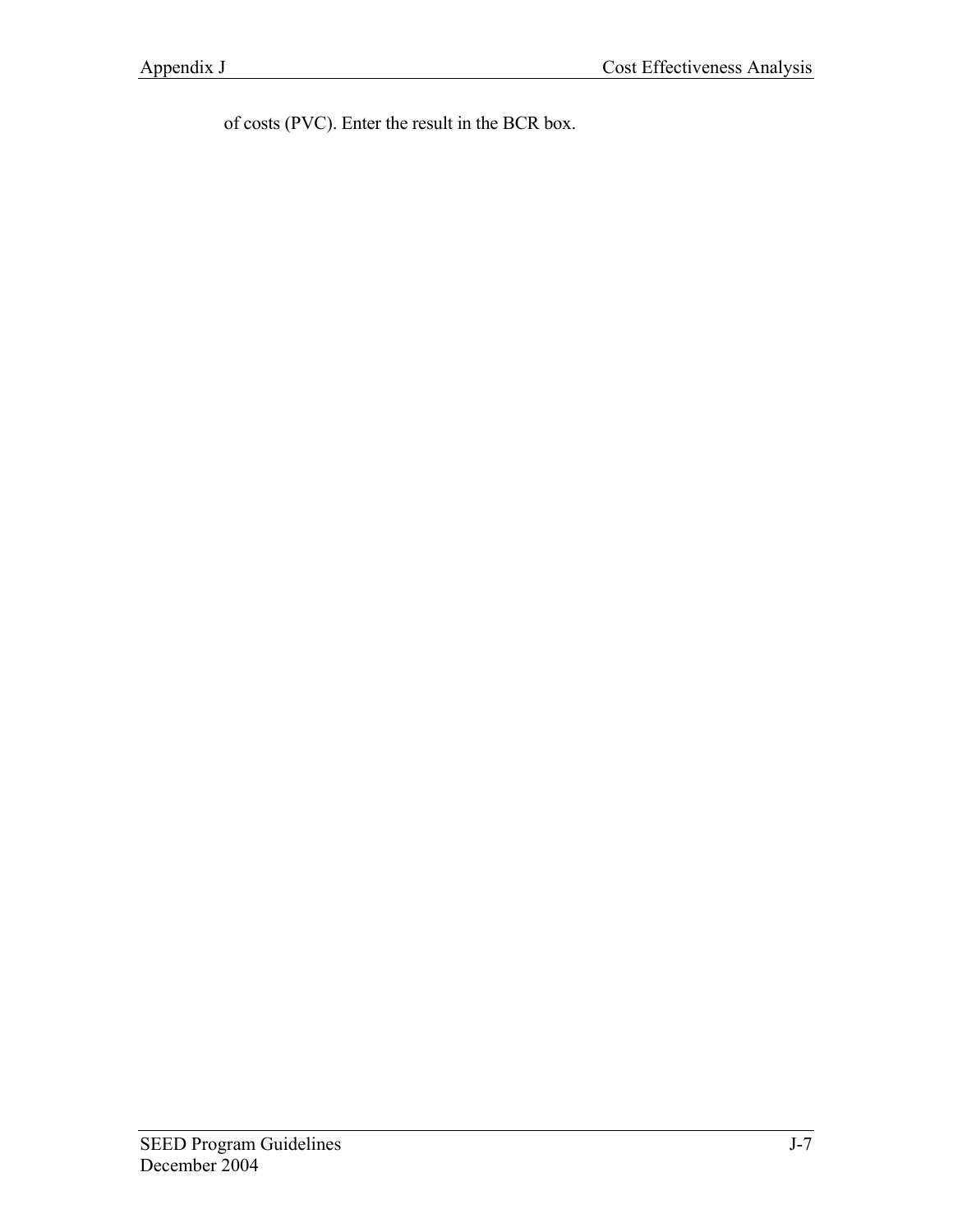of costs (PVC). Enter the result in the BCR box.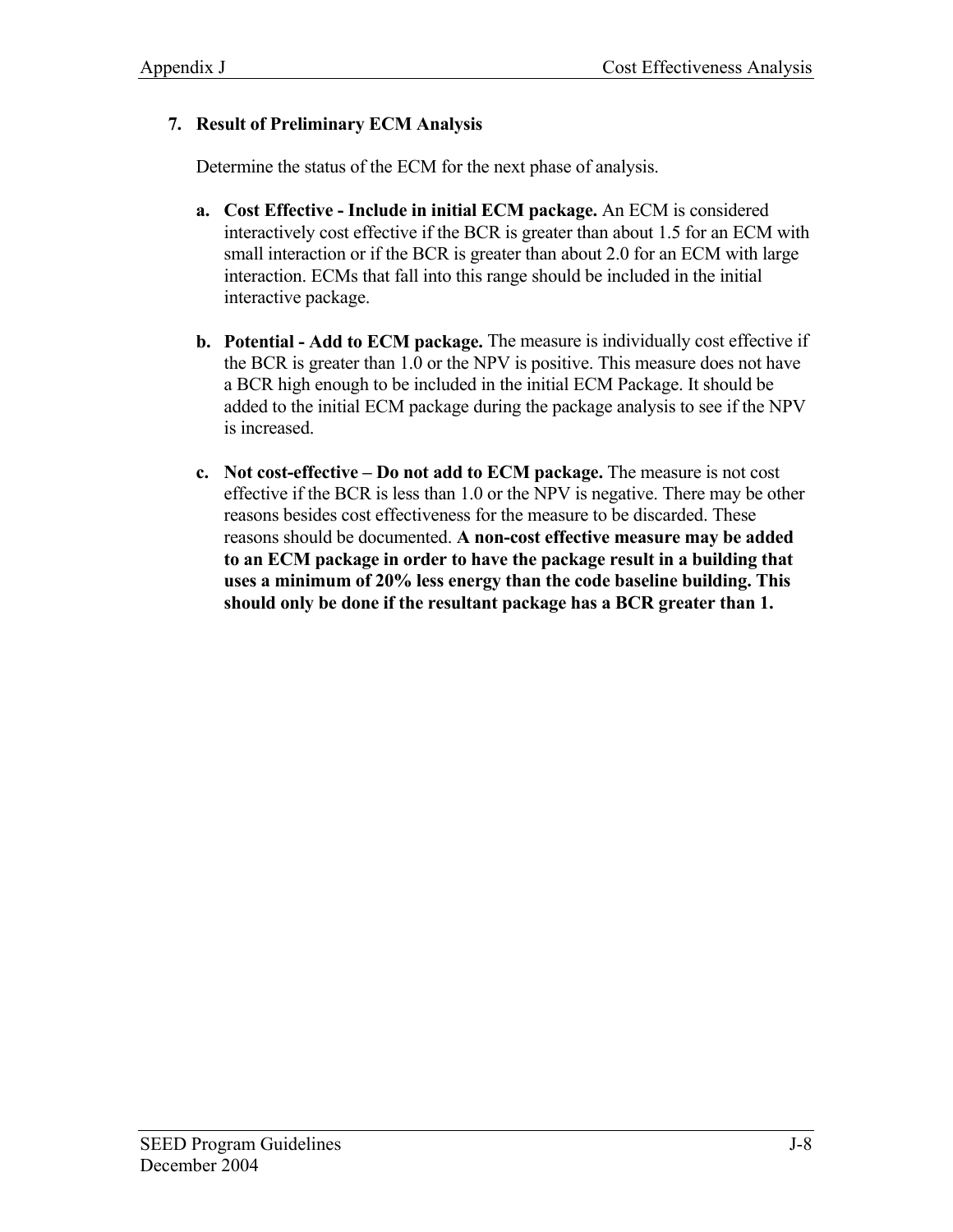# **7. Result of Preliminary ECM Analysis**

Determine the status of the ECM for the next phase of analysis.

- **a. Cost Effective Include in initial ECM package.** An ECM is considered interactively cost effective if the BCR is greater than about 1.5 for an ECM with small interaction or if the BCR is greater than about 2.0 for an ECM with large interaction. ECMs that fall into this range should be included in the initial interactive package.
- **b. Potential Add to ECM package.** The measure is individually cost effective if the BCR is greater than 1.0 or the NPV is positive. This measure does not have a BCR high enough to be included in the initial ECM Package. It should be added to the initial ECM package during the package analysis to see if the NPV is increased.
- **c. Not cost-effective Do not add to ECM package.** The measure is not cost effective if the BCR is less than 1.0 or the NPV is negative. There may be other reasons besides cost effectiveness for the measure to be discarded. These reasons should be documented. **A non-cost effective measure may be added to an ECM package in order to have the package result in a building that uses a minimum of 20% less energy than the code baseline building. This should only be done if the resultant package has a BCR greater than 1.**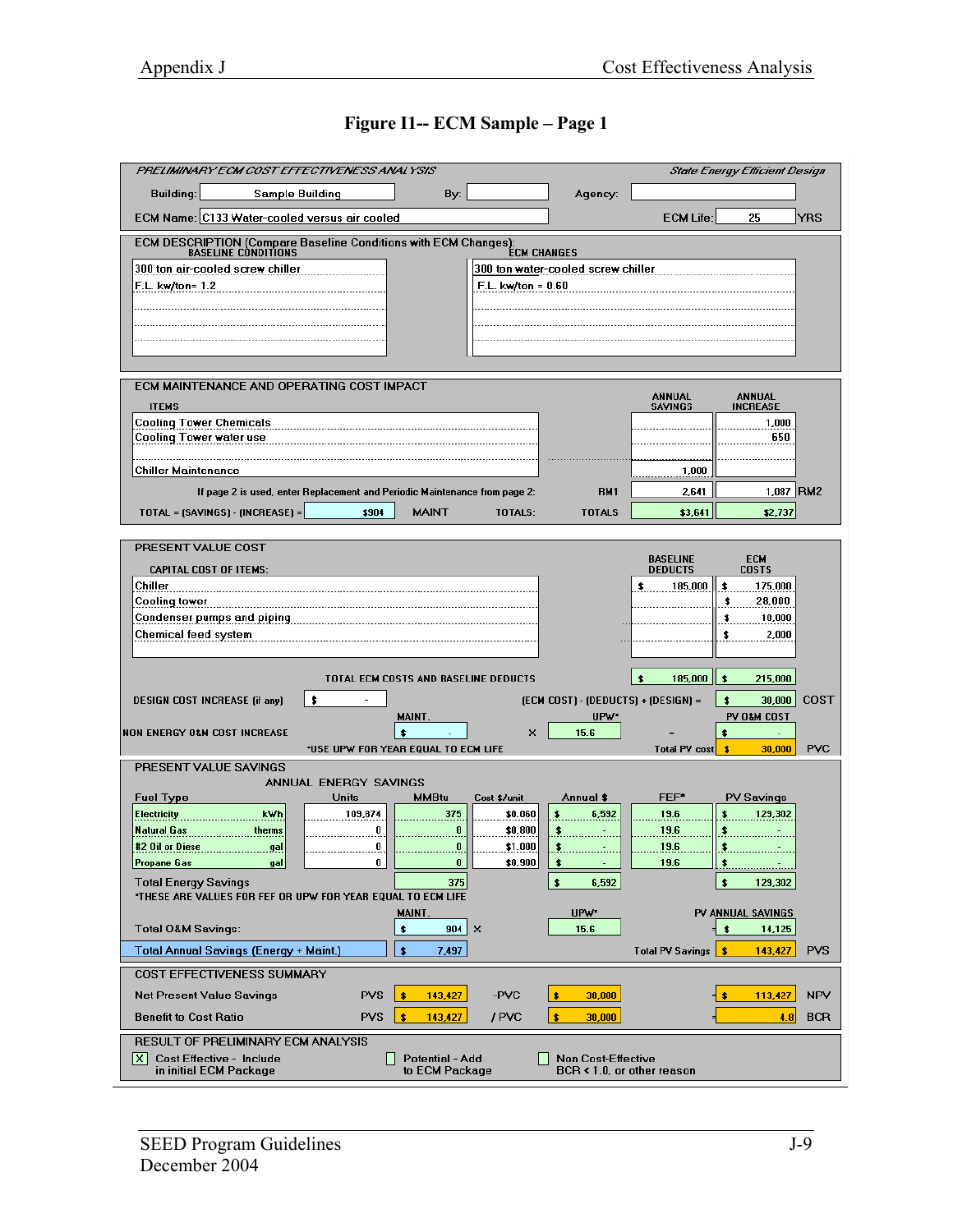# **Figure I1-- ECM Sample – Page 1**

| PRELIMINARY ECM COST EFFECTIVENESS ANALYSIS                                                                                                                                            |                                           |                         |                                     |                                   | <b>State Energy Efficient Design</b> |            |
|----------------------------------------------------------------------------------------------------------------------------------------------------------------------------------------|-------------------------------------------|-------------------------|-------------------------------------|-----------------------------------|--------------------------------------|------------|
| Building:<br><b>Sample Building</b>                                                                                                                                                    | By:                                       |                         | Agency:                             |                                   |                                      |            |
| ECM Name: C133 Water-cooled versus air cooled                                                                                                                                          |                                           |                         |                                     | <b>ECM Life:</b>                  | 25                                   | <b>YRS</b> |
| ECM DESCRIPTION (Compare Baseline Conditions with ECM Changes):<br>BASELINE CONDITIONS<br><b>ECM CHANGES</b><br>300 ton air-cooled screw chiller<br>300 ton water-cooled screw chiller |                                           |                         |                                     |                                   |                                      |            |
| F.L. kw/ton= 1.2                                                                                                                                                                       |                                           | $F.L.$ kw/ton = $0.60$  |                                     |                                   |                                      |            |
|                                                                                                                                                                                        |                                           |                         |                                     |                                   |                                      |            |
|                                                                                                                                                                                        |                                           |                         |                                     |                                   |                                      |            |
|                                                                                                                                                                                        |                                           |                         |                                     |                                   |                                      |            |
| ECM MAINTENANCE AND OPERATING COST IMPACT<br><b>ITEMS</b>                                                                                                                              |                                           |                         |                                     | ANNUAL<br><b>SAVINGS</b>          | <b>ANNUAL</b><br><b>INCREASE</b>     |            |
| <b>Cooling Tower Chemicals</b>                                                                                                                                                         |                                           |                         |                                     |                                   | 1,000                                |            |
| <b>Cooling Tower water use</b>                                                                                                                                                         |                                           |                         |                                     |                                   | 650                                  |            |
| <b>Chiller Maintenance</b>                                                                                                                                                             |                                           |                         |                                     | 1,000                             |                                      |            |
| If page 2 is used, enter Replacement and Periodic Maintenance from page 2:                                                                                                             |                                           |                         | <b>RM1</b>                          | 2,641                             |                                      | 1,087 RM2  |
| TOTAL = (SAVINGS) - (INCREASE) =<br>\$904                                                                                                                                              | <b>MAINT</b>                              | TOTALS:                 | <b>TOTALS</b>                       | \$3,641                           | \$2,737                              |            |
| PRESENT VALUE COST                                                                                                                                                                     |                                           |                         |                                     |                                   |                                      |            |
| <b>CAPITAL COST OF ITEMS:</b>                                                                                                                                                          |                                           |                         |                                     | <b>BASELINE</b><br><b>DEDUCTS</b> | <b>ECM</b><br><b>COSTS</b>           |            |
| Chiller                                                                                                                                                                                |                                           |                         |                                     | 185,000                           | \$<br>175,000                        |            |
| Cooling tower                                                                                                                                                                          |                                           |                         |                                     |                                   | 28,000<br>\$                         |            |
| Condenser pumps and piping                                                                                                                                                             |                                           |                         |                                     |                                   | 10,000<br>\$                         |            |
| Chemical feed system                                                                                                                                                                   |                                           |                         |                                     |                                   | 2,000<br>\$                          |            |
|                                                                                                                                                                                        | TOTAL ECM COSTS AND BASELINE DEDUCTS      |                         |                                     | 185,000<br>$\ddot{\bullet}$       | $\bullet$<br>215,000                 |            |
| \$<br><b>DESIGN COST INCREASE (if any)</b>                                                                                                                                             |                                           |                         | (ECM COST) - (DEDUCTS) + (DESIGN) = |                                   | $\bullet$<br>30,000                  | COST       |
|                                                                                                                                                                                        | MAINT.                                    |                         | UPW*                                |                                   | PV O&M COST                          |            |
| <b>NON ENERGY O&amp;M COST INCREASE</b>                                                                                                                                                | \$<br>*USE UPW FOR YEAR EQUAL TO ECM LIFE | x                       | 15.6                                | Ξ<br>Total PV cost                | \$<br>$\bullet$<br>30,000            | <b>PVC</b> |
| PRESENT VALUE SAVINGS                                                                                                                                                                  |                                           |                         |                                     |                                   |                                      |            |
| ANNUAL ENERGY SAVINGS                                                                                                                                                                  |                                           |                         |                                     |                                   |                                      |            |
| <b>Fuel Type</b><br><b>Units</b><br><b>Electricity</b><br>kWh<br>109,874                                                                                                               | <b>MMBtu</b><br>375                       | Cost \$/unit<br>\$0.060 | Annual \$<br>\$<br>6,592            | FEF*<br>19.6                      | <b>PV Savings</b><br>\$<br>129,302   |            |
| Natural Gas<br>therms                                                                                                                                                                  | $\overline{0}$<br>0                       | \$0.800                 | \$.                                 | 19.6                              | \$.,                                 |            |
| #2 Oil or Diese<br>gal                                                                                                                                                                 | 0<br>0                                    | \$1.000                 | $\mathbf{3}$                        | 19.6                              | \$                                   |            |
| <b>Propane Gas</b><br>gal                                                                                                                                                              | 0<br>0                                    | \$0.900                 | \$<br>$\overline{\phantom{a}}$      | 19.6                              | <u>s ___________</u>                 |            |
| <b>Total Energy Savings</b><br>*THESE ARE VALUES FOR FEF OR UPW FOR YEAR EQUAL TO ECM LIFE                                                                                             | 375                                       |                         | $\bullet$<br>6,592                  |                                   | $\bullet$<br>129,302                 |            |
|                                                                                                                                                                                        | MAINT.                                    |                         | UPW <sup>*</sup>                    |                                   | PV ANNUAL SAVINGS                    |            |
| <b>Total O&amp;M Savings:</b>                                                                                                                                                          | $904 \mid X$<br>\$                        |                         | 15.6                                |                                   | $\bullet$<br>14,125                  |            |
| Total Annual Savings (Energy + Maint.)                                                                                                                                                 | \$<br>7,497                               |                         |                                     | Total PV Savings                  | <b>s</b><br>143,427                  | <b>PVS</b> |
| COST EFFECTIVENESS SUMMARY                                                                                                                                                             |                                           |                         |                                     |                                   |                                      |            |
| <b>PVS</b><br><b>Net Present Value Savings</b>                                                                                                                                         | \$<br>143,427                             | -PVC                    | \$<br>30,000                        |                                   | ∃ \$<br>113,427                      | <b>NPV</b> |
| <b>PVS</b><br><b>Benefit to Cost Ratio</b>                                                                                                                                             | ŝ<br>143,427                              | / PVC                   | s<br>30,000                         |                                   | 4.8                                  | <b>BCR</b> |
| <b>RESULT OF PRELIMINARY ECM ANALYSIS</b><br>l×I<br>Cost Effective - Include                                                                                                           | Potential - Add                           |                         | <b>Non Cost-Effective</b>           |                                   |                                      |            |
| in initial ECM Package                                                                                                                                                                 | to ECM Package                            |                         | BCR < 1.0, or other reason          |                                   |                                      |            |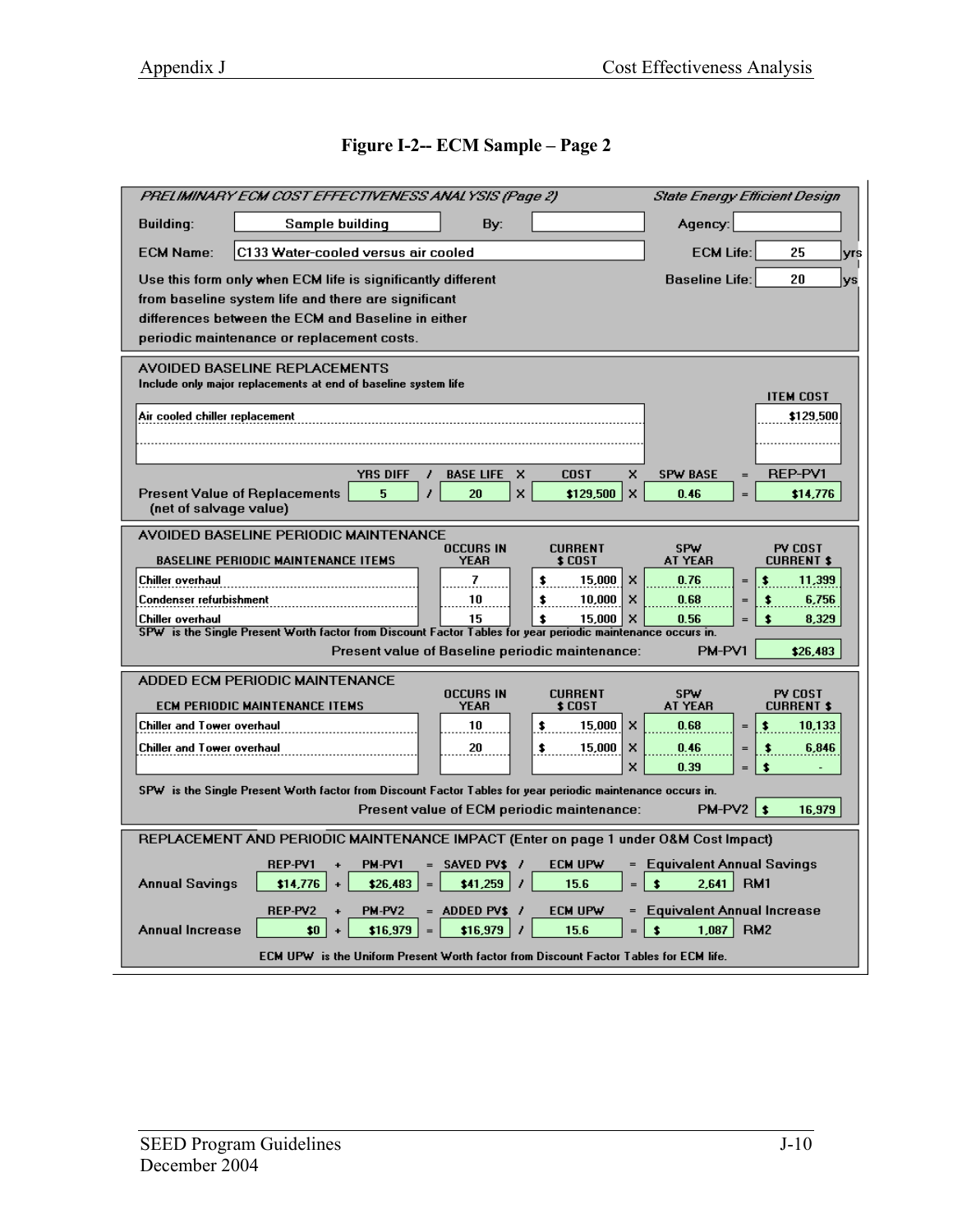# **Figure I-2-- ECM Sample – Page 2**

| PRELIMINARY ECM COST EFFECTIVENESS ANALYSIS (Page 2)                                                                                                                                                                                                                                                                                                                                                                                                                                                        | State Energy Efficient Design                                                                                                                      |  |  |  |  |
|-------------------------------------------------------------------------------------------------------------------------------------------------------------------------------------------------------------------------------------------------------------------------------------------------------------------------------------------------------------------------------------------------------------------------------------------------------------------------------------------------------------|----------------------------------------------------------------------------------------------------------------------------------------------------|--|--|--|--|
| <b>Building:</b><br>Sample building<br>By:                                                                                                                                                                                                                                                                                                                                                                                                                                                                  | Agency:                                                                                                                                            |  |  |  |  |
| <b>ECM Name:</b><br>C133 Water-cooled versus air cooled                                                                                                                                                                                                                                                                                                                                                                                                                                                     | <b>ECM Life:</b><br>25<br> yrs                                                                                                                     |  |  |  |  |
| Use this form only when ECM life is significantly different<br>from baseline system life and there are significant<br>differences between the ECM and Baseline in either<br>periodic maintenance or replacement costs.                                                                                                                                                                                                                                                                                      | <b>Baseline Life:</b><br>20<br>lys                                                                                                                 |  |  |  |  |
| <b>AVOIDED BASELINE REPLACEMENTS</b><br>Include only major replacements at end of baseline system life<br>Air cooled chiller replacement                                                                                                                                                                                                                                                                                                                                                                    | <b>ITEM COST</b><br>\$129,500                                                                                                                      |  |  |  |  |
| <b>YRS DIFF</b><br><b>BASE LIFE</b><br>x<br><b>COST</b><br>x<br>$\boldsymbol{\mathsf{x}}$<br><b>Present Value of Replacements</b><br>5<br>20<br>x<br>\$129,500<br>(net of salvage value)                                                                                                                                                                                                                                                                                                                    | REP-PV1<br><b>SPW BASE</b><br>$=$<br>0.46<br>\$14,776<br>$=$                                                                                       |  |  |  |  |
| AVOIDED BASELINE PERIODIC MAINTENANCE<br><b>OCCURS IN</b><br><b>CURRENT</b><br><b>BASELINE PERIODIC MAINTENANCE ITEMS</b><br>YEAR<br>\$ COST<br>$\mathbf{7}$<br>Chiller overhaul<br>15,000<br>×<br>\$<br>10<br>×<br>Condenser refurbishment<br>\$<br>10,000<br>15<br>$\boldsymbol{\mathsf{x}}$<br>Chiller overhaul<br>\$<br>15,000<br>SPW is the Single Present Worth factor from Discount Factor Tables for year periodic maintenance occurs in.<br><b>Present value of Baseline periodic maintenance:</b> | SPW<br>PV COST<br><b>CURRENT \$</b><br>AT YEAR<br>0.76<br>11,399<br>$=$<br>0.68<br>6,756<br>\$<br>0.56<br>8,329<br>\$<br>$=$<br>PM-PV1<br>\$26,483 |  |  |  |  |
| ADDED ECM PERIODIC MAINTENANCE<br><b>OCCURS IN</b><br><b>CURRENT</b><br>ECM PERIODIC MAINTENANCE ITEMS<br>YEAR<br>\$ COST<br>Chiller and Tower overhaul<br>10<br>15,000<br>x<br>\$<br>Chiller and Tower overhaul<br>20<br>15,000<br>×<br>\$<br>×                                                                                                                                                                                                                                                            | SPW<br>PV COST<br>AT YEAR<br><b>CURRENT \$</b><br>0.68<br>10,133<br>$=$<br>0.46<br>6,846<br>\$<br>0.39<br>\$<br>$=$                                |  |  |  |  |
| SPW is the Single Present Worth factor from Discount Factor Tables for year periodic maintenance occurs in.<br>$PM-PY2$ \$<br>Present value of ECM periodic maintenance:<br>16,979                                                                                                                                                                                                                                                                                                                          |                                                                                                                                                    |  |  |  |  |
| REPLACEMENT AND PERIODIC MAINTENANCE IMPACT (Enter on page 1 under O&M Cost Impact)                                                                                                                                                                                                                                                                                                                                                                                                                         |                                                                                                                                                    |  |  |  |  |
| <b>REP-PV1</b><br>PM-PV1<br>$=$ SAVED PV\$ /<br>ECM UPW<br>$=$<br><b>Annual Savings</b><br>\$26,483<br>\$41,259<br>15.6<br>\$14,776<br>$=$<br>REP-PV2<br>PM-PV2<br>$=$ ADDED PV\$ /<br>ECM UPW<br>$=$                                                                                                                                                                                                                                                                                                       | <b>Equivalent Annual Savings</b><br>$\bullet$<br>2,641<br>RM <sub>1</sub><br><b>Equivalent Annual Increase</b>                                     |  |  |  |  |
| 1.087<br><b>Annual Increase</b><br>\$0<br>\$16,979<br>\$16.979<br>15.6<br>RM <sub>2</sub><br>\$<br>$=$<br>$\ddot{\phantom{1}}$<br>$=$<br>ECM UPW is the Uniform Present Worth factor from Discount Factor Tables for ECM life.                                                                                                                                                                                                                                                                              |                                                                                                                                                    |  |  |  |  |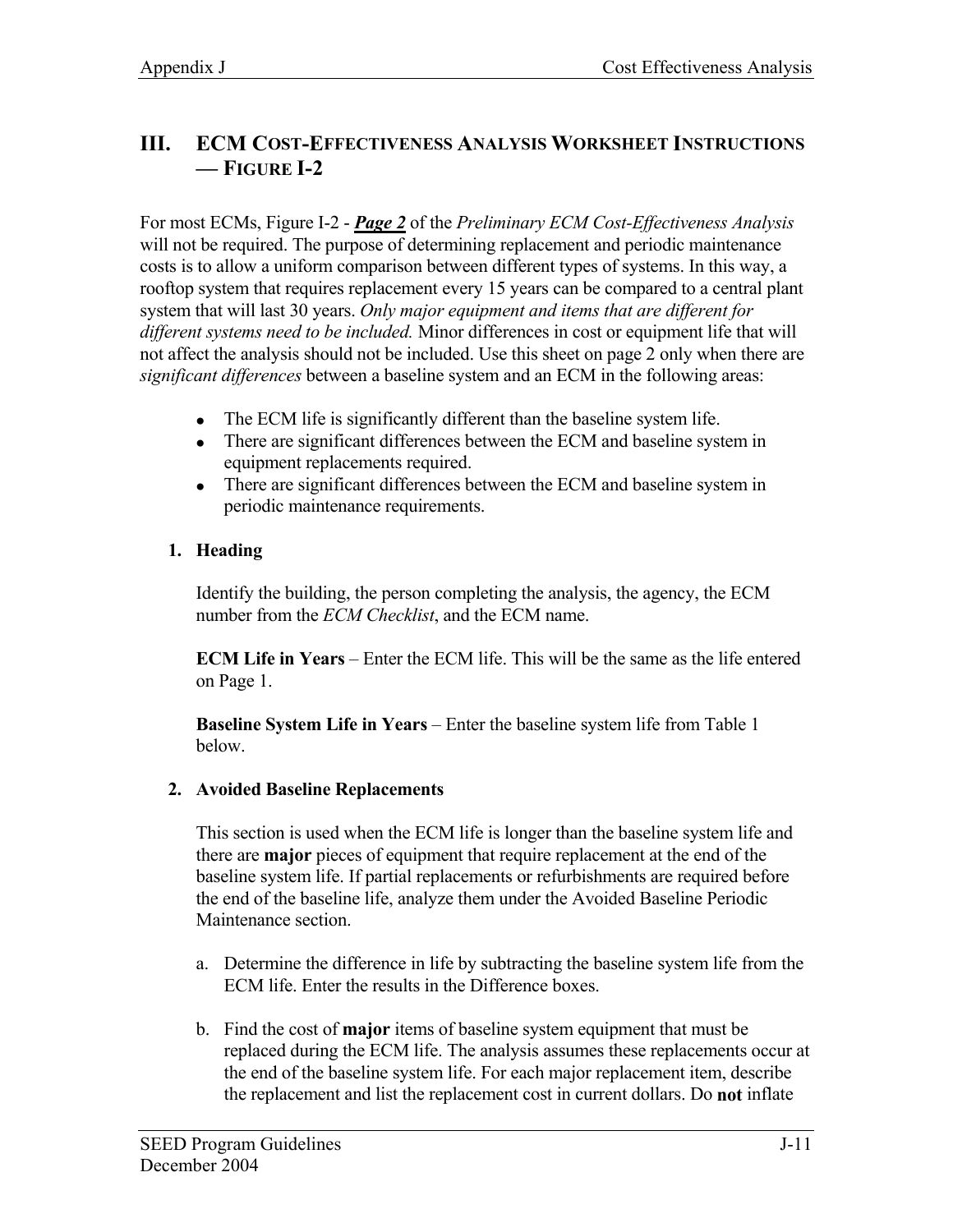# **III. ECM COST-EFFECTIVENESS ANALYSIS WORKSHEET INSTRUCTIONS — FIGURE I-2**

For most ECMs, Figure I-2 - *Page 2* of the *Preliminary ECM Cost-Effectiveness Analysis* will not be required. The purpose of determining replacement and periodic maintenance costs is to allow a uniform comparison between different types of systems. In this way, a rooftop system that requires replacement every 15 years can be compared to a central plant system that will last 30 years. *Only major equipment and items that are different for different systems need to be included.* Minor differences in cost or equipment life that will not affect the analysis should not be included. Use this sheet on page 2 only when there are *significant differences* between a baseline system and an ECM in the following areas:

- The ECM life is significantly different than the baseline system life.
- There are significant differences between the ECM and baseline system in equipment replacements required.
- There are significant differences between the ECM and baseline system in periodic maintenance requirements.

# **1. Heading**

Identify the building, the person completing the analysis, the agency, the ECM number from the *ECM Checklist*, and the ECM name.

**ECM Life in Years** – Enter the ECM life. This will be the same as the life entered on Page 1.

**Baseline System Life in Years** – Enter the baseline system life from Table 1 below.

#### **2. Avoided Baseline Replacements**

This section is used when the ECM life is longer than the baseline system life and there are **major** pieces of equipment that require replacement at the end of the baseline system life. If partial replacements or refurbishments are required before the end of the baseline life, analyze them under the Avoided Baseline Periodic Maintenance section.

- a. Determine the difference in life by subtracting the baseline system life from the ECM life. Enter the results in the Difference boxes.
- b. Find the cost of **major** items of baseline system equipment that must be replaced during the ECM life. The analysis assumes these replacements occur at the end of the baseline system life. For each major replacement item, describe the replacement and list the replacement cost in current dollars. Do **not** inflate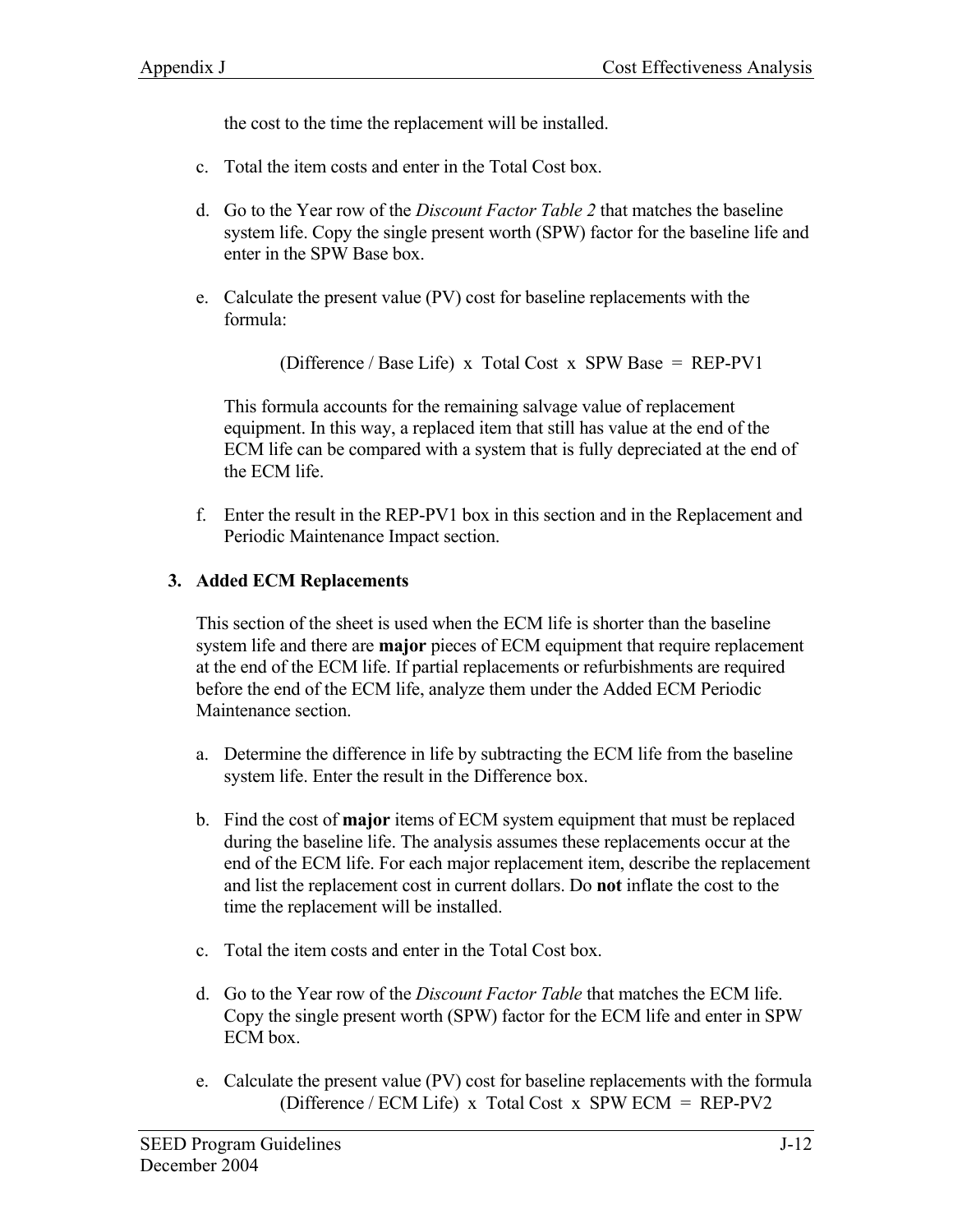the cost to the time the replacement will be installed.

- c. Total the item costs and enter in the Total Cost box.
- d. Go to the Year row of the *Discount Factor Table 2* that matches the baseline system life. Copy the single present worth (SPW) factor for the baseline life and enter in the SPW Base box.
- e. Calculate the present value (PV) cost for baseline replacements with the formula:

(Difference / Base Life) x Total Cost x SPW Base = REP-PV1

This formula accounts for the remaining salvage value of replacement equipment. In this way, a replaced item that still has value at the end of the ECM life can be compared with a system that is fully depreciated at the end of the ECM life.

f. Enter the result in the REP-PV1 box in this section and in the Replacement and Periodic Maintenance Impact section.

# **3. Added ECM Replacements**

This section of the sheet is used when the ECM life is shorter than the baseline system life and there are **major** pieces of ECM equipment that require replacement at the end of the ECM life. If partial replacements or refurbishments are required before the end of the ECM life, analyze them under the Added ECM Periodic Maintenance section.

- a. Determine the difference in life by subtracting the ECM life from the baseline system life. Enter the result in the Difference box.
- b. Find the cost of **major** items of ECM system equipment that must be replaced during the baseline life. The analysis assumes these replacements occur at the end of the ECM life. For each major replacement item, describe the replacement and list the replacement cost in current dollars. Do **not** inflate the cost to the time the replacement will be installed.
- c. Total the item costs and enter in the Total Cost box.
- d. Go to the Year row of the *Discount Factor Table* that matches the ECM life. Copy the single present worth (SPW) factor for the ECM life and enter in SPW ECM box.
- e. Calculate the present value (PV) cost for baseline replacements with the formula (Difference / ECM Life) x Total Cost x SPW ECM = REP-PV2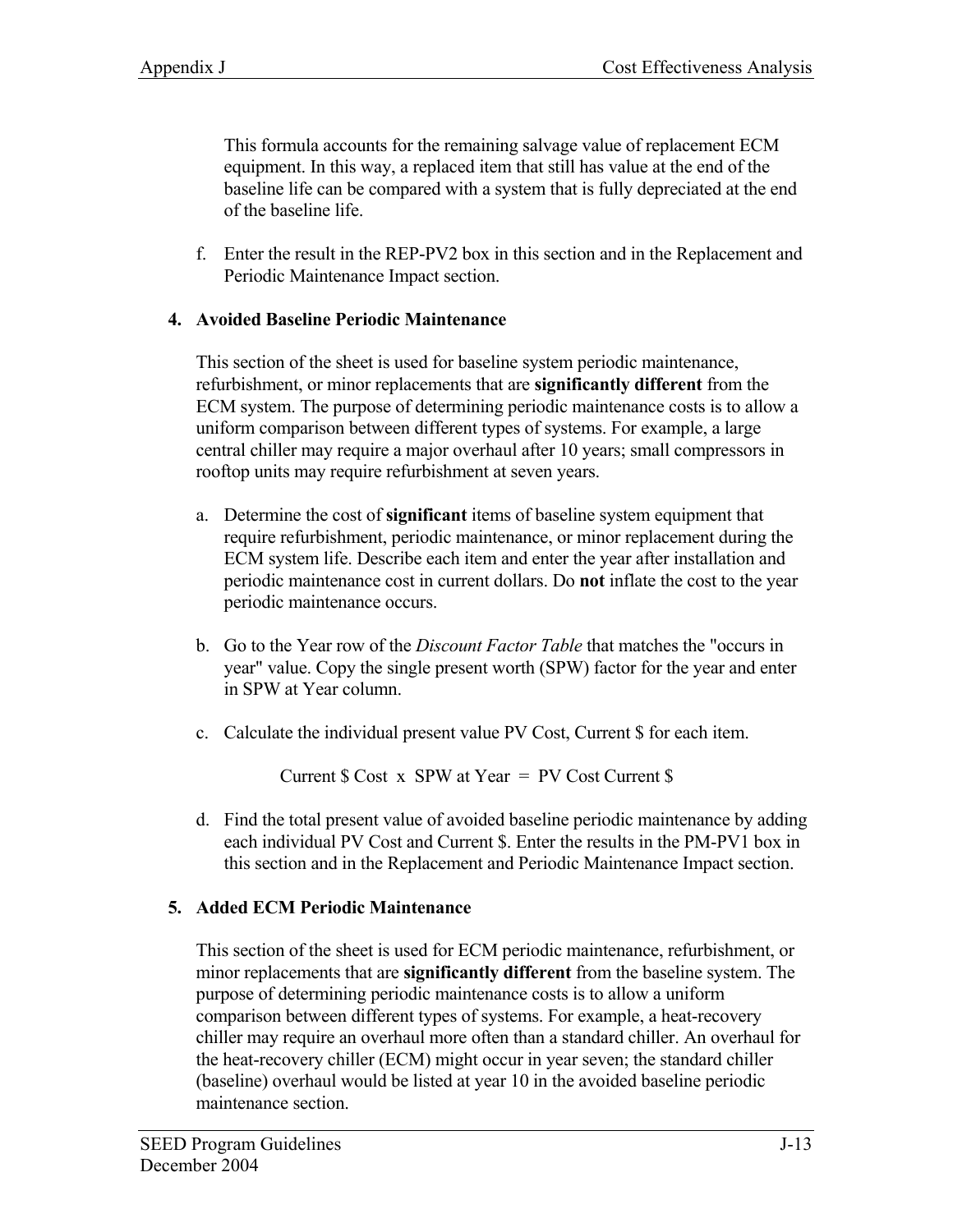This formula accounts for the remaining salvage value of replacement ECM equipment. In this way, a replaced item that still has value at the end of the baseline life can be compared with a system that is fully depreciated at the end of the baseline life.

f. Enter the result in the REP-PV2 box in this section and in the Replacement and Periodic Maintenance Impact section.

#### **4. Avoided Baseline Periodic Maintenance**

This section of the sheet is used for baseline system periodic maintenance, refurbishment, or minor replacements that are **significantly different** from the ECM system. The purpose of determining periodic maintenance costs is to allow a uniform comparison between different types of systems. For example, a large central chiller may require a major overhaul after 10 years; small compressors in rooftop units may require refurbishment at seven years.

- a. Determine the cost of **significant** items of baseline system equipment that require refurbishment, periodic maintenance, or minor replacement during the ECM system life. Describe each item and enter the year after installation and periodic maintenance cost in current dollars. Do **not** inflate the cost to the year periodic maintenance occurs.
- b. Go to the Year row of the *Discount Factor Table* that matches the "occurs in year" value. Copy the single present worth (SPW) factor for the year and enter in SPW at Year column.
- c. Calculate the individual present value PV Cost, Current \$ for each item.

Current  $\text{\$ Cost x SPW at Year = PV Cost Current \$}$ 

d. Find the total present value of avoided baseline periodic maintenance by adding each individual PV Cost and Current \$. Enter the results in the PM-PV1 box in this section and in the Replacement and Periodic Maintenance Impact section.

# **5. Added ECM Periodic Maintenance**

This section of the sheet is used for ECM periodic maintenance, refurbishment, or minor replacements that are **significantly different** from the baseline system. The purpose of determining periodic maintenance costs is to allow a uniform comparison between different types of systems. For example, a heat-recovery chiller may require an overhaul more often than a standard chiller. An overhaul for the heat-recovery chiller (ECM) might occur in year seven; the standard chiller (baseline) overhaul would be listed at year 10 in the avoided baseline periodic maintenance section.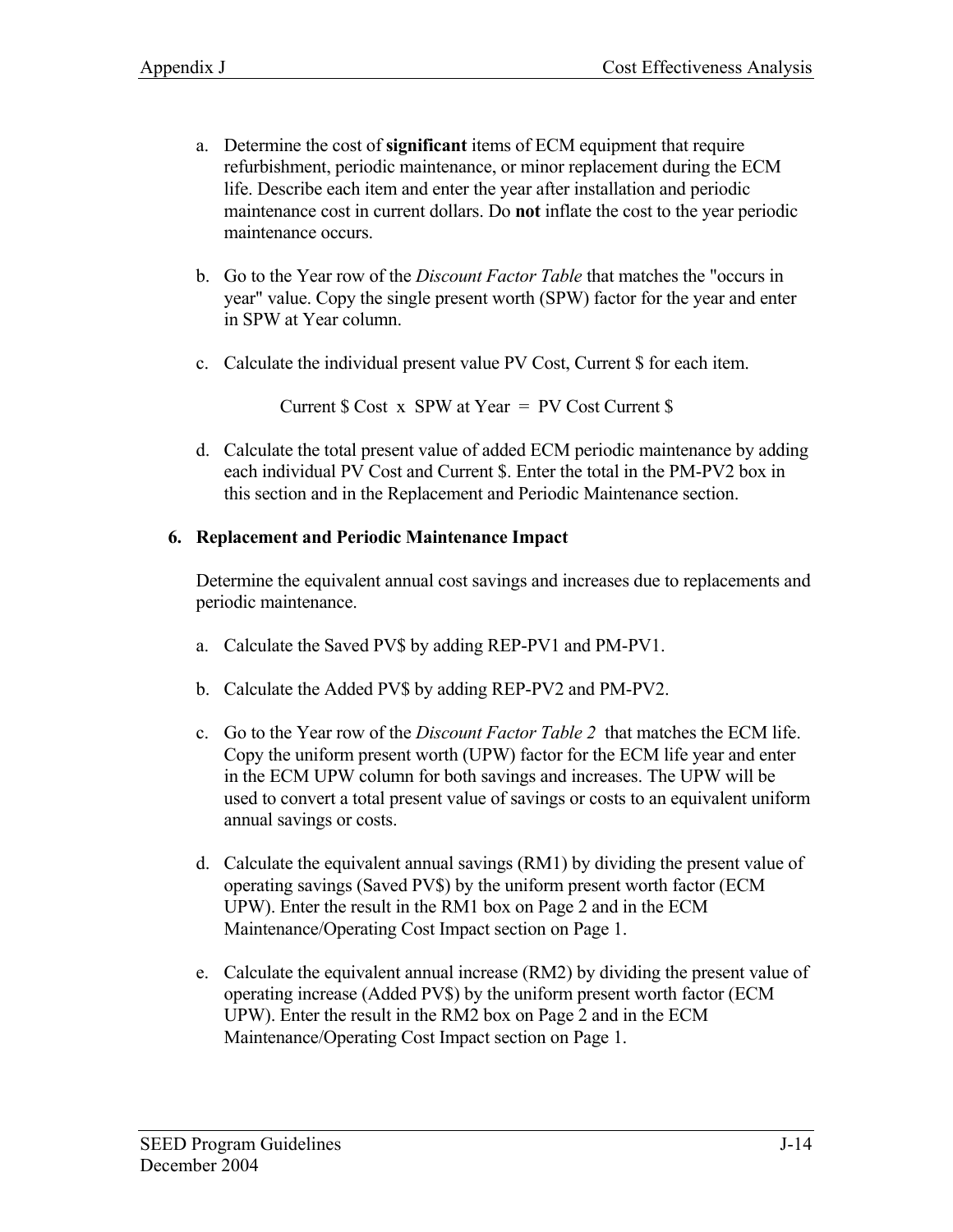- a. Determine the cost of **significant** items of ECM equipment that require refurbishment, periodic maintenance, or minor replacement during the ECM life. Describe each item and enter the year after installation and periodic maintenance cost in current dollars. Do **not** inflate the cost to the year periodic maintenance occurs.
- b. Go to the Year row of the *Discount Factor Table* that matches the "occurs in year" value. Copy the single present worth (SPW) factor for the year and enter in SPW at Year column.
- c. Calculate the individual present value PV Cost, Current \$ for each item.

Current  $\text{\$ Cost} \times \text{SPW}$  at Year = PV Cost Current  $\text{\$}$ 

d. Calculate the total present value of added ECM periodic maintenance by adding each individual PV Cost and Current \$. Enter the total in the PM-PV2 box in this section and in the Replacement and Periodic Maintenance section.

#### **6. Replacement and Periodic Maintenance Impact**

Determine the equivalent annual cost savings and increases due to replacements and periodic maintenance.

- a. Calculate the Saved PV\$ by adding REP-PV1 and PM-PV1.
- b. Calculate the Added PV\$ by adding REP-PV2 and PM-PV2.
- c. Go to the Year row of the *Discount Factor Table 2* that matches the ECM life. Copy the uniform present worth (UPW) factor for the ECM life year and enter in the ECM UPW column for both savings and increases. The UPW will be used to convert a total present value of savings or costs to an equivalent uniform annual savings or costs.
- d. Calculate the equivalent annual savings (RM1) by dividing the present value of operating savings (Saved PV\$) by the uniform present worth factor (ECM UPW). Enter the result in the RM1 box on Page 2 and in the ECM Maintenance/Operating Cost Impact section on Page 1.
- e. Calculate the equivalent annual increase (RM2) by dividing the present value of operating increase (Added PV\$) by the uniform present worth factor (ECM UPW). Enter the result in the RM2 box on Page 2 and in the ECM Maintenance/Operating Cost Impact section on Page 1.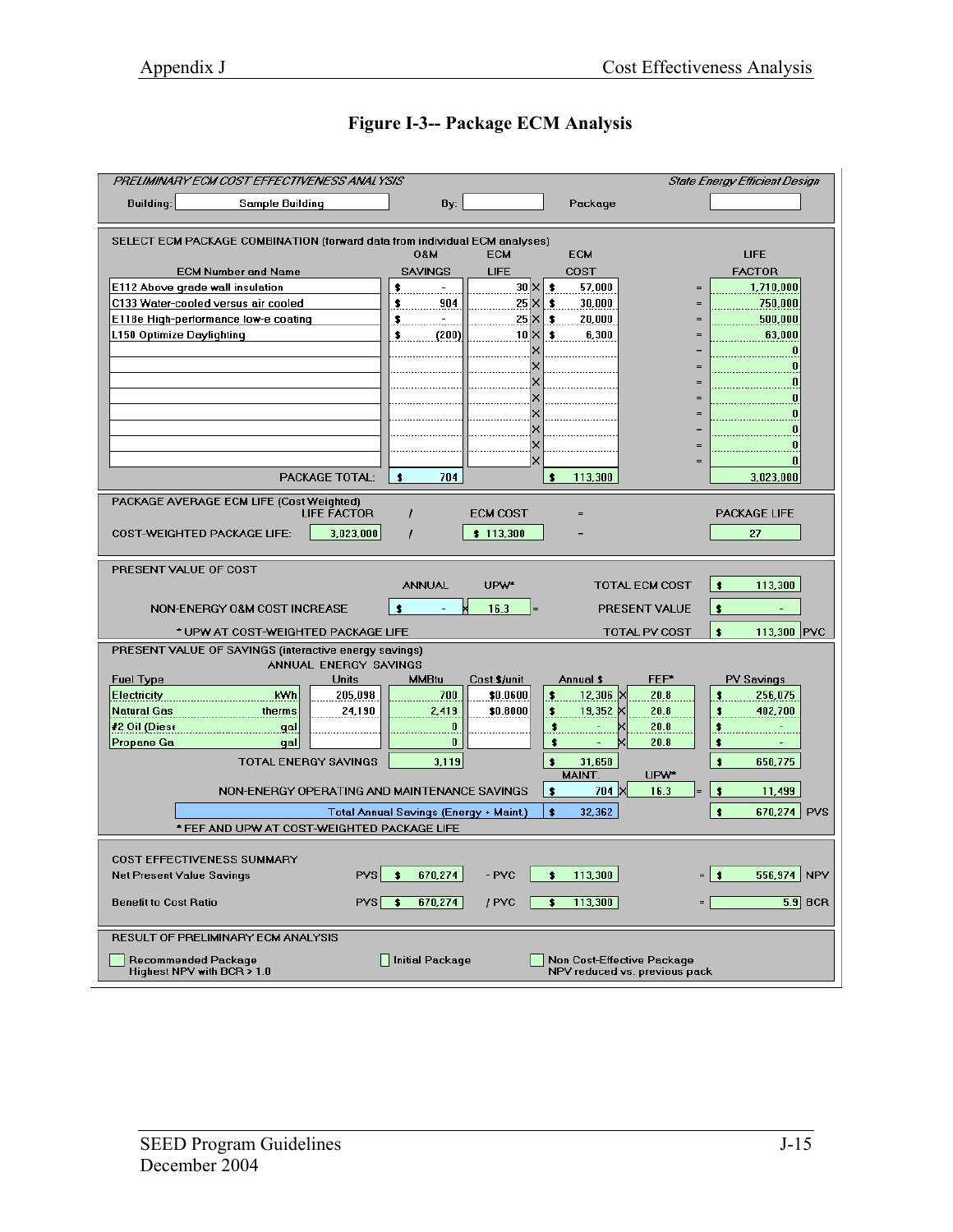| PRELIMINARY ECM COST EFFECTIVENESS ANALYSIS                                                                         |                                        | <b>State Energy Efficient Design</b>                        |                           |  |  |  |
|---------------------------------------------------------------------------------------------------------------------|----------------------------------------|-------------------------------------------------------------|---------------------------|--|--|--|
| <b>Building:</b><br>Sample Building                                                                                 | By:                                    | Package                                                     |                           |  |  |  |
|                                                                                                                     |                                        |                                                             |                           |  |  |  |
| SELECT ECM PACKAGE COMBINATION (forward data from individual ECM analyses)                                          | <b>M80</b><br><b>ECM</b>               | <b>ECM</b>                                                  | <b>LIFE</b>               |  |  |  |
| <b>ECM Number and Name</b>                                                                                          | <b>SAVINGS</b><br><b>LIFE</b>          | <b>COST</b>                                                 | <b>FACTOR</b>             |  |  |  |
| E112 Above grade wall insulation                                                                                    | \$                                     | $30 \times$<br>57,000<br>\$                                 | 1,710,000                 |  |  |  |
| C133 Water-cooled versus air cooled<br>E118e High-performance low-e coating                                         | \$<br>904<br>$\bullet$ .               | $25 \times$<br>30,000<br>\$<br>$25 \times$<br>20,000<br>\$  | 750,000<br>500,000<br>$=$ |  |  |  |
| L150 Optimize Daylighting                                                                                           | $\overline{\mathbf{r}}$<br>\$<br>(200) | $10 \times$<br>6,300<br>\$                                  | 63,000<br>$=$             |  |  |  |
|                                                                                                                     |                                        |                                                             |                           |  |  |  |
|                                                                                                                     |                                        |                                                             | $\equiv$<br>$=$           |  |  |  |
|                                                                                                                     |                                        |                                                             | $=$                       |  |  |  |
|                                                                                                                     |                                        |                                                             |                           |  |  |  |
|                                                                                                                     |                                        |                                                             |                           |  |  |  |
|                                                                                                                     |                                        | ×                                                           |                           |  |  |  |
| PACKAGE TOTAL:                                                                                                      | $\bullet$<br>704                       | $\bullet$<br>113,300                                        | 3,023,000                 |  |  |  |
| PACKAGE AVERAGE ECM LIFE (Cost Weighted)                                                                            |                                        |                                                             |                           |  |  |  |
| <b>LIFE FACTOR</b>                                                                                                  | <b>ECM COST</b><br>1<br>\$113,300      |                                                             | <b>PACKAGE LIFE</b>       |  |  |  |
| 3,023,000<br>COST-WEIGHTED PACKAGE LIFE:                                                                            | 1                                      |                                                             | 27                        |  |  |  |
| PRESENT VALUE OF COST                                                                                               |                                        |                                                             |                           |  |  |  |
|                                                                                                                     | UPW*<br>ANNUAL                         | <b>TOTAL ECM COST</b>                                       | $\bullet$<br>113,300      |  |  |  |
| NON-ENERGY O&M COST INCREASE                                                                                        | $\bullet$<br>16.3                      | PRESENT VALUE                                               | $\bullet$                 |  |  |  |
| * UPW AT COST-WEIGHTED PACKAGE LIFE                                                                                 |                                        | TOTAL PV COST                                               | $\bullet$<br>113,300 PVC  |  |  |  |
| PRESENT VALUE OF SAVINGS (interactive energy savings)<br>ANNUAL ENERGY SAVINGS                                      |                                        |                                                             |                           |  |  |  |
| <b>Fuel Type</b><br><b>Units</b>                                                                                    | Cost \$/unit<br><b>MMBtu</b>           | FEF*<br>Annual \$                                           | <b>PV Savings</b>         |  |  |  |
| kWh<br>205,098<br>Electricity                                                                                       | \$0.0600<br>700                        | 12,306<br>20.8<br>\$                                        | 256,075<br>\$             |  |  |  |
| Natural Gas<br>24,190<br>therms<br>#2 Oil (Diese<br>.gal                                                            | \$0.8000<br>2,419<br>0                 | 20.8<br>\$<br>19,352<br>\$<br>20.8                          | 402,700<br>\$<br>\$       |  |  |  |
| Propane Ga<br>qal                                                                                                   | 0                                      | \$<br>20.8                                                  | \$                        |  |  |  |
| 3,119<br>$\bullet$<br><b>TOTAL ENERGY SAVINGS</b><br>31,658<br>$\bullet$<br>658,775                                 |                                        |                                                             |                           |  |  |  |
| MAINT.<br>UPW*<br>$\bullet$<br>$\bullet$<br>704 X<br>11,499<br>NON-ENERGY OPERATING AND MAINTENANCE SAVINGS<br>16.3 |                                        |                                                             |                           |  |  |  |
| $\pmb{\ast}$<br>$\bullet$<br>670,274<br>32,362<br><b>PVS</b><br><b>Total Annual Savings (Energy + Maint.)</b>       |                                        |                                                             |                           |  |  |  |
| * FEF AND UPW AT COST-WEIGHTED PACKAGE LIFE                                                                         |                                        |                                                             |                           |  |  |  |
| COST EFFECTIVENESS SUMMARY                                                                                          |                                        |                                                             |                           |  |  |  |
| Net Present Value Savings<br>PVS                                                                                    | 670,274<br>- PVC<br>\$                 | 113,300<br>\$                                               | =   \$<br>556,974 NPV     |  |  |  |
| <b>Benefit to Cost Ratio</b>                                                                                        | $PVS$ \$<br>670,274<br>/ PVC           | 113,300<br>\$                                               | $\overline{5.9}$ BCR      |  |  |  |
| RESULT OF PRELIMINARY ECM ANALYSIS                                                                                  |                                        |                                                             |                           |  |  |  |
| Recommended Package<br>Highest NPV with BCR > 1.0                                                                   | Initial Package                        | Non Cost-Effective Package<br>NPV reduced vs. previous pack |                           |  |  |  |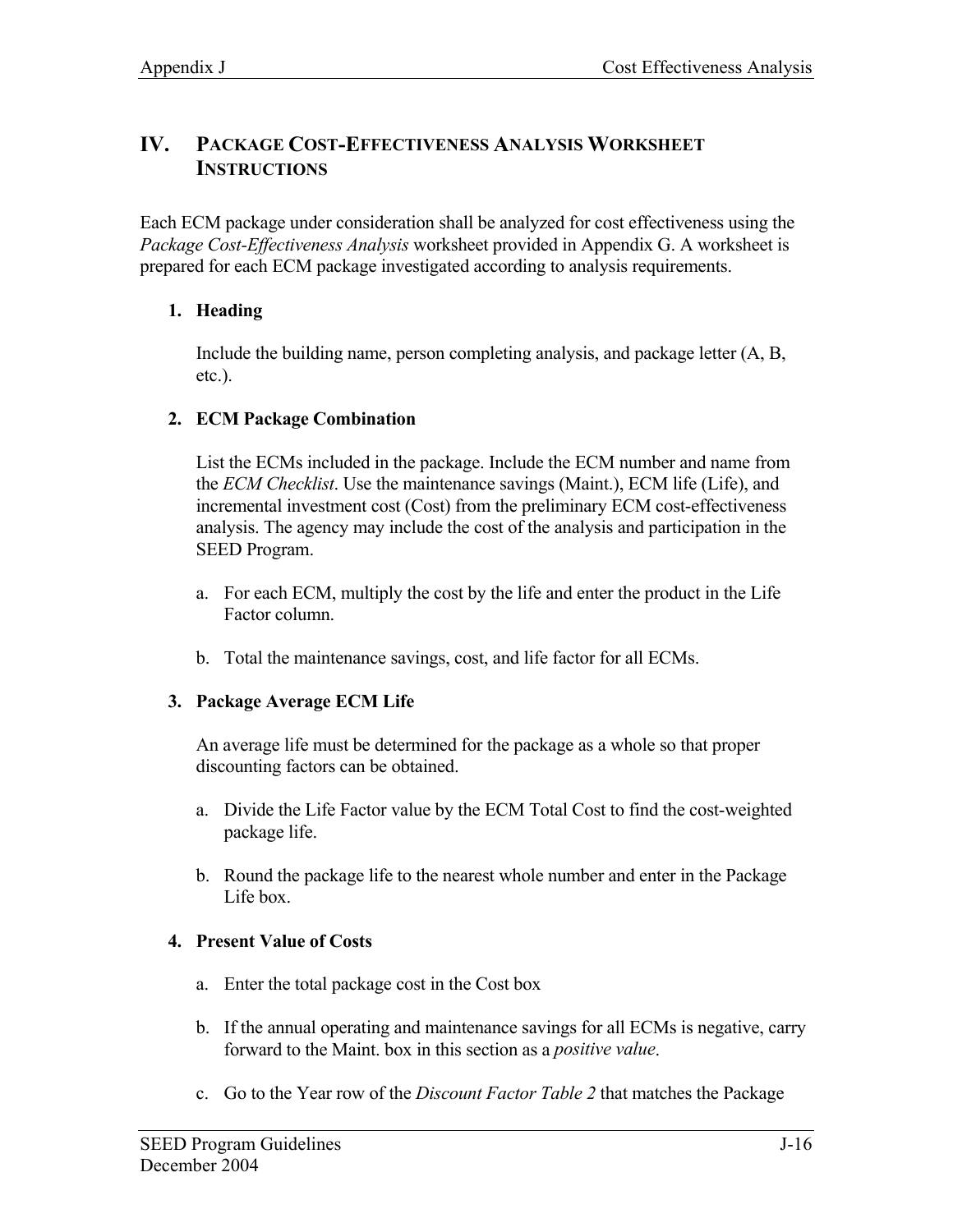# **IV. PACKAGE COST-EFFECTIVENESS ANALYSIS WORKSHEET INSTRUCTIONS**

Each ECM package under consideration shall be analyzed for cost effectiveness using the *Package Cost-Effectiveness Analysis* worksheet provided in Appendix G. A worksheet is prepared for each ECM package investigated according to analysis requirements.

# **1. Heading**

Include the building name, person completing analysis, and package letter (A, B, etc.).

# **2. ECM Package Combination**

List the ECMs included in the package. Include the ECM number and name from the *ECM Checklist*. Use the maintenance savings (Maint.), ECM life (Life), and incremental investment cost (Cost) from the preliminary ECM cost-effectiveness analysis. The agency may include the cost of the analysis and participation in the SEED Program.

- a. For each ECM, multiply the cost by the life and enter the product in the Life Factor column.
- b. Total the maintenance savings, cost, and life factor for all ECMs.

#### **3. Package Average ECM Life**

An average life must be determined for the package as a whole so that proper discounting factors can be obtained.

- a. Divide the Life Factor value by the ECM Total Cost to find the cost-weighted package life.
- b. Round the package life to the nearest whole number and enter in the Package Life box.

# **4. Present Value of Costs**

- a. Enter the total package cost in the Cost box
- b. If the annual operating and maintenance savings for all ECMs is negative, carry forward to the Maint. box in this section as a *positive value*.
- c. Go to the Year row of the *Discount Factor Table 2* that matches the Package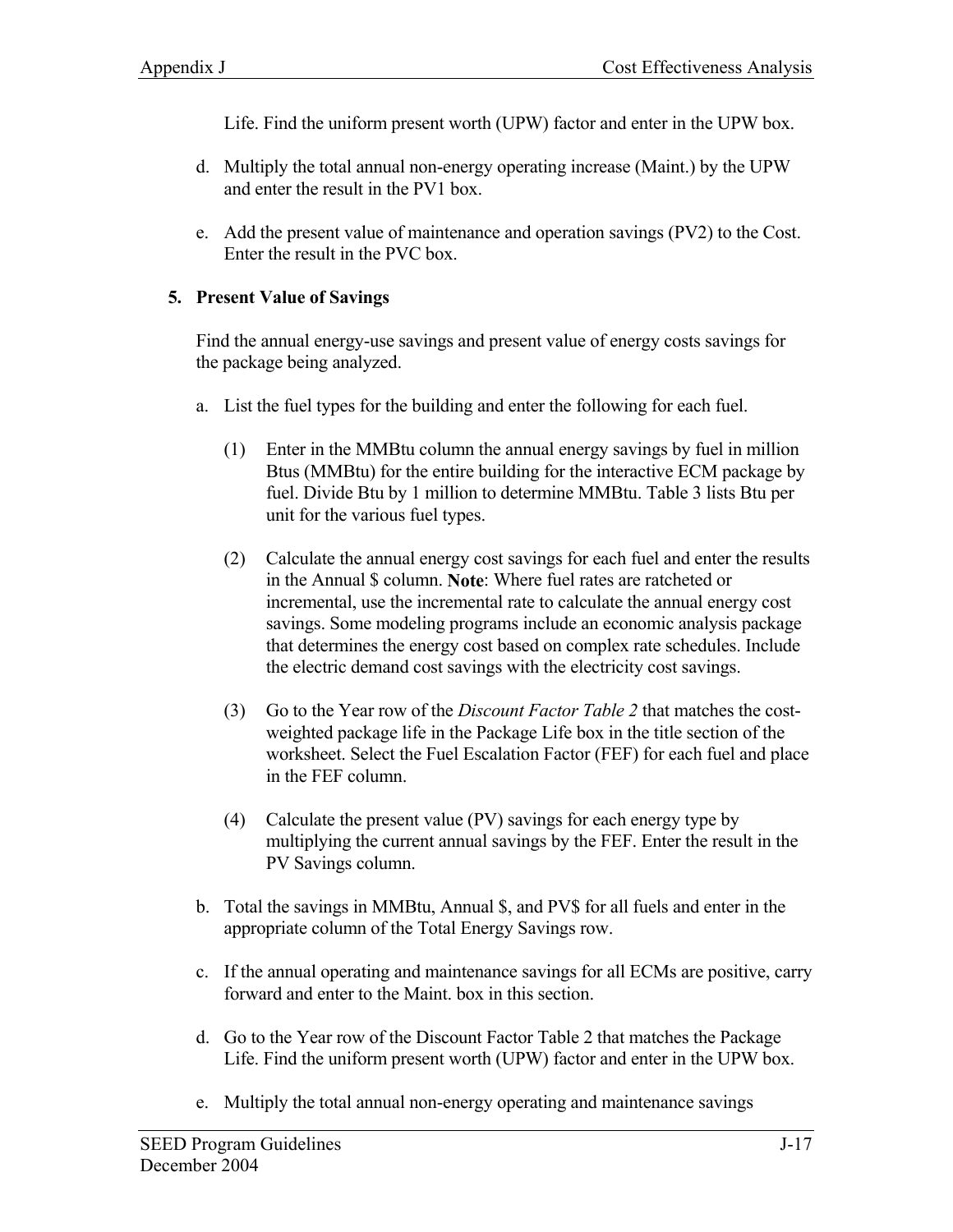Life. Find the uniform present worth (UPW) factor and enter in the UPW box.

- d. Multiply the total annual non-energy operating increase (Maint.) by the UPW and enter the result in the PV1 box.
- e. Add the present value of maintenance and operation savings (PV2) to the Cost. Enter the result in the PVC box.

#### **5. Present Value of Savings**

Find the annual energy-use savings and present value of energy costs savings for the package being analyzed.

- a. List the fuel types for the building and enter the following for each fuel.
	- (1) Enter in the MMBtu column the annual energy savings by fuel in million Btus (MMBtu) for the entire building for the interactive ECM package by fuel. Divide Btu by 1 million to determine MMBtu. Table 3 lists Btu per unit for the various fuel types.
	- (2) Calculate the annual energy cost savings for each fuel and enter the results in the Annual \$ column. **Note**: Where fuel rates are ratcheted or incremental, use the incremental rate to calculate the annual energy cost savings. Some modeling programs include an economic analysis package that determines the energy cost based on complex rate schedules. Include the electric demand cost savings with the electricity cost savings.
	- (3) Go to the Year row of the *Discount Factor Table 2* that matches the costweighted package life in the Package Life box in the title section of the worksheet. Select the Fuel Escalation Factor (FEF) for each fuel and place in the FEF column.
	- (4) Calculate the present value (PV) savings for each energy type by multiplying the current annual savings by the FEF. Enter the result in the PV Savings column.
- b. Total the savings in MMBtu, Annual \$, and PV\$ for all fuels and enter in the appropriate column of the Total Energy Savings row.
- c. If the annual operating and maintenance savings for all ECMs are positive, carry forward and enter to the Maint. box in this section.
- d. Go to the Year row of the Discount Factor Table 2 that matches the Package Life. Find the uniform present worth (UPW) factor and enter in the UPW box.
- e. Multiply the total annual non-energy operating and maintenance savings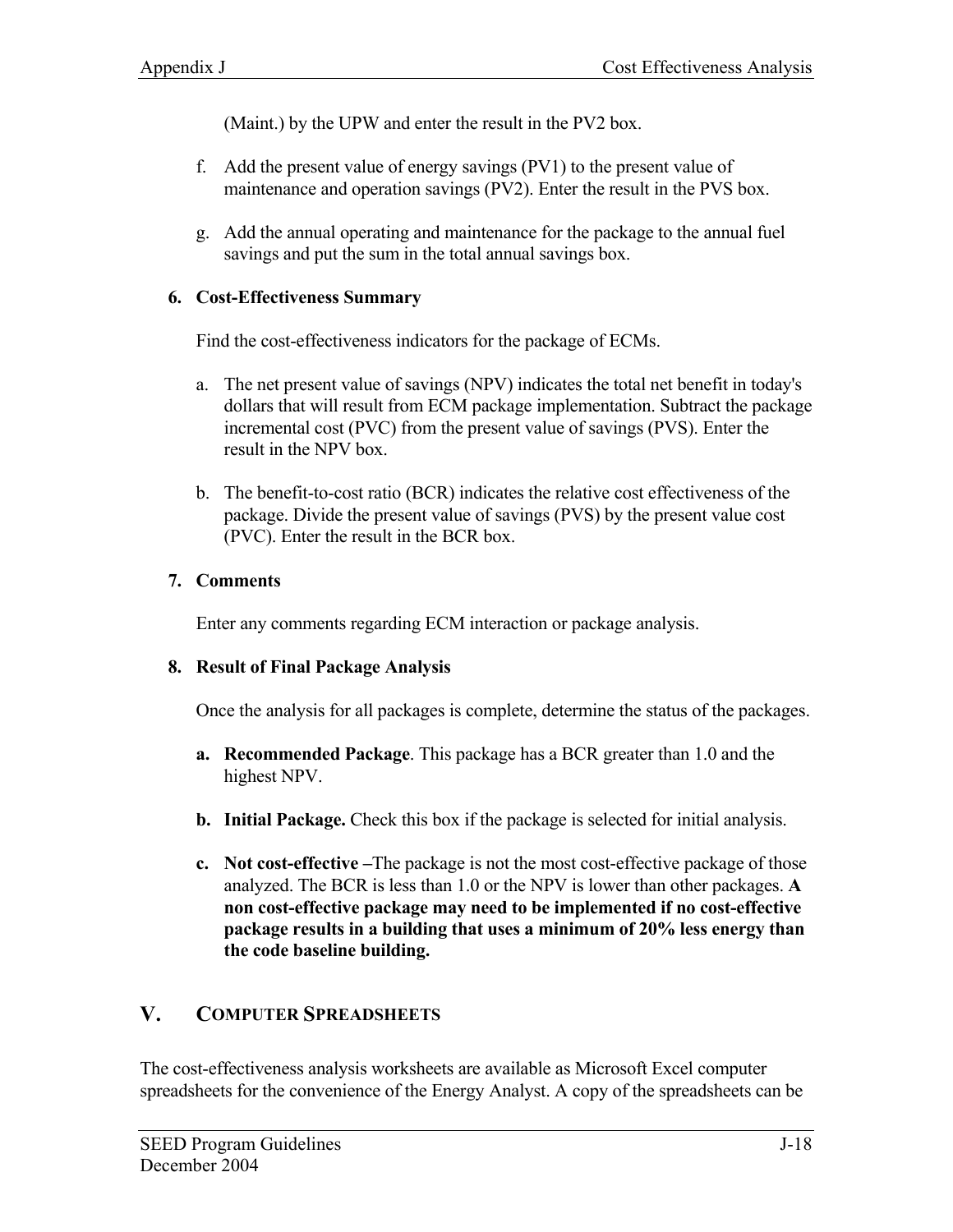(Maint.) by the UPW and enter the result in the PV2 box.

- f. Add the present value of energy savings (PV1) to the present value of maintenance and operation savings (PV2). Enter the result in the PVS box.
- g. Add the annual operating and maintenance for the package to the annual fuel savings and put the sum in the total annual savings box.

#### **6. Cost-Effectiveness Summary**

Find the cost-effectiveness indicators for the package of ECMs.

- a. The net present value of savings (NPV) indicates the total net benefit in today's dollars that will result from ECM package implementation. Subtract the package incremental cost (PVC) from the present value of savings (PVS). Enter the result in the NPV box.
- b. The benefit-to-cost ratio (BCR) indicates the relative cost effectiveness of the package. Divide the present value of savings (PVS) by the present value cost (PVC). Enter the result in the BCR box.

#### **7. Comments**

Enter any comments regarding ECM interaction or package analysis.

#### **8. Result of Final Package Analysis**

Once the analysis for all packages is complete, determine the status of the packages.

- **a. Recommended Package**. This package has a BCR greater than 1.0 and the highest NPV.
- **b. Initial Package.** Check this box if the package is selected for initial analysis.
- **c. Not cost-effective –**The package is not the most cost-effective package of those analyzed. The BCR is less than 1.0 or the NPV is lower than other packages. **A non cost-effective package may need to be implemented if no cost-effective package results in a building that uses a minimum of 20% less energy than the code baseline building.**

# **V. COMPUTER SPREADSHEETS**

The cost-effectiveness analysis worksheets are available as Microsoft Excel computer spreadsheets for the convenience of the Energy Analyst. A copy of the spreadsheets can be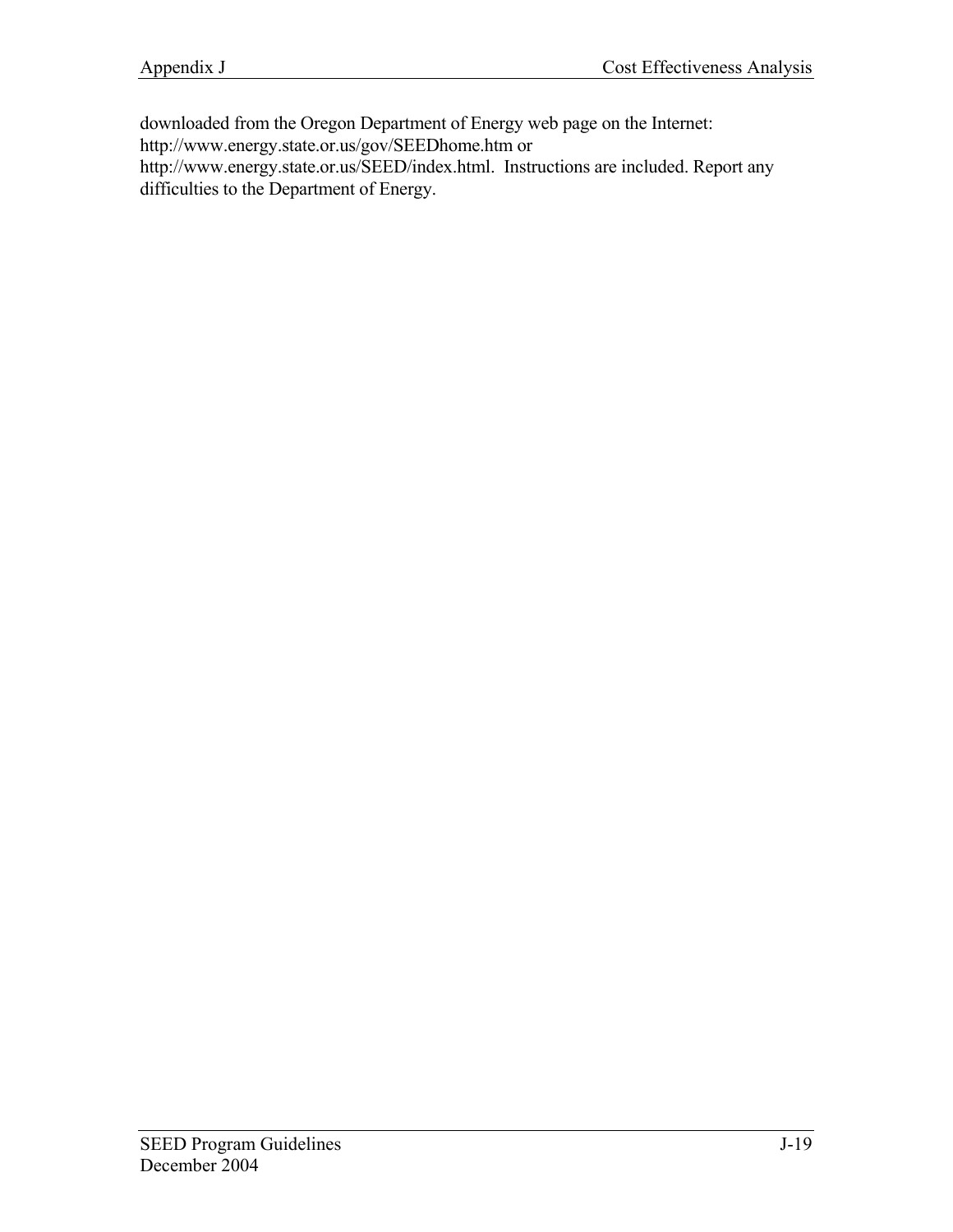downloaded from the Oregon Department of Energy web page on the Internet:

http://www.energy.state.or.us/gov/SEEDhome.htm or

http://www.energy.state.or.us/SEED/index.html. Instructions are included. Report any difficulties to the Department of Energy.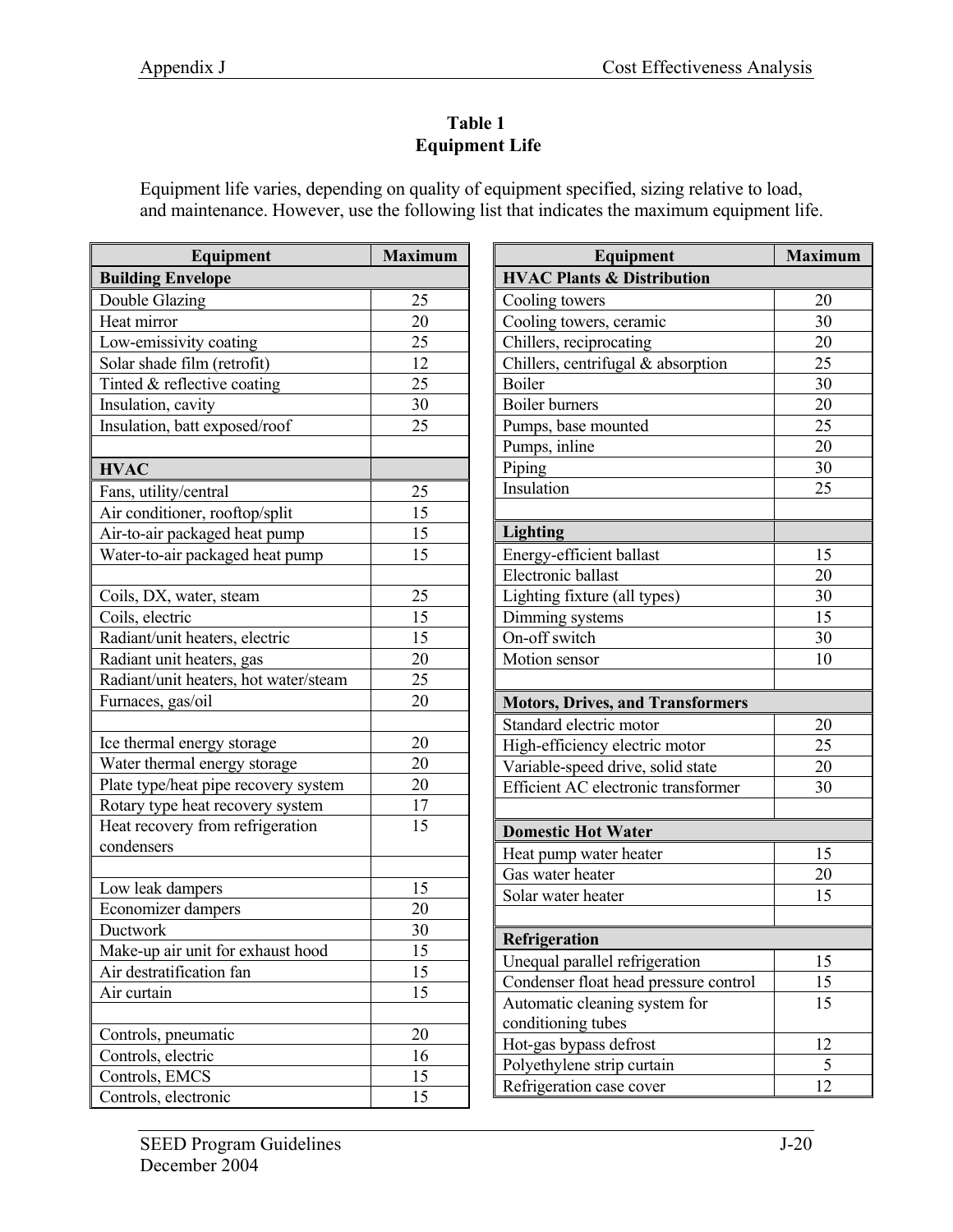# **Table 1 Equipment Life**

Equipment life varies, depending on quality of equipment specified, sizing relative to load, and maintenance. However, use the following list that indicates the maximum equipment life.

| Equipment                             | <b>Maximum</b>  |
|---------------------------------------|-----------------|
| <b>Building Envelope</b>              |                 |
| Double Glazing                        | 25              |
| Heat mirror                           | 20              |
| Low-emissivity coating                | 25              |
| Solar shade film (retrofit)           | 12              |
| Tinted & reflective coating           | 25              |
| Insulation, cavity                    | 30              |
| Insulation, batt exposed/roof         | 25              |
|                                       |                 |
| <b>HVAC</b>                           |                 |
| Fans, utility/central                 | 25              |
| Air conditioner, rooftop/split        | 15              |
| Air-to-air packaged heat pump         | $\overline{15}$ |
| Water-to-air packaged heat pump       | 15              |
|                                       |                 |
| Coils, DX, water, steam               | 25              |
| Coils, electric                       | 15              |
| Radiant/unit heaters, electric        | 15              |
| Radiant unit heaters, gas             | 20              |
| Radiant/unit heaters, hot water/steam | 25              |
| Furnaces, gas/oil                     | 20              |
|                                       |                 |
| Ice thermal energy storage            | 20              |
| Water thermal energy storage          | 20              |
| Plate type/heat pipe recovery system  | 20              |
| Rotary type heat recovery system      | 17              |
| Heat recovery from refrigeration      | 15              |
| condensers                            |                 |
|                                       |                 |
| Low leak dampers                      | 15              |
| Economizer dampers                    | 20              |
| Ductwork                              | 30              |
| Make-up air unit for exhaust hood     | 15              |
| Air destratification fan              | 15              |
| Air curtain                           | 15              |
|                                       |                 |
| Controls, pneumatic                   | 20              |
| Controls, electric                    | 16              |
| Controls, EMCS                        | 15              |
| Controls, electronic                  | 15              |

| Equipment                               | <b>Maximum</b> |  |  |  |  |
|-----------------------------------------|----------------|--|--|--|--|
| <b>HVAC Plants &amp; Distribution</b>   |                |  |  |  |  |
| Cooling towers                          | 20             |  |  |  |  |
| Cooling towers, ceramic                 | 30             |  |  |  |  |
| Chillers, reciprocating                 | 20             |  |  |  |  |
| Chillers, centrifugal & absorption      | 25             |  |  |  |  |
| <b>Boiler</b>                           | 30             |  |  |  |  |
| <b>Boiler</b> burners                   | 20             |  |  |  |  |
| Pumps, base mounted                     | 25             |  |  |  |  |
| Pumps, inline                           | 20             |  |  |  |  |
| Piping                                  | 30             |  |  |  |  |
| Insulation                              | 25             |  |  |  |  |
|                                         |                |  |  |  |  |
| <b>Lighting</b>                         |                |  |  |  |  |
| Energy-efficient ballast                | 15             |  |  |  |  |
| Electronic ballast                      | 20             |  |  |  |  |
| Lighting fixture (all types)            | 30             |  |  |  |  |
| Dimming systems                         | 15             |  |  |  |  |
| On-off switch                           | 30             |  |  |  |  |
| Motion sensor                           | 10             |  |  |  |  |
|                                         |                |  |  |  |  |
| <b>Motors, Drives, and Transformers</b> |                |  |  |  |  |
| Standard electric motor                 | 20             |  |  |  |  |
| High-efficiency electric motor          | 25             |  |  |  |  |
| Variable-speed drive, solid state       | 20             |  |  |  |  |
| Efficient AC electronic transformer     | 30             |  |  |  |  |
|                                         |                |  |  |  |  |
| <b>Domestic Hot Water</b>               |                |  |  |  |  |
| Heat pump water heater                  | 15             |  |  |  |  |
| Gas water heater                        | 20             |  |  |  |  |
| Solar water heater                      | 15             |  |  |  |  |
|                                         |                |  |  |  |  |
| Refrigeration                           |                |  |  |  |  |
| Unequal parallel refrigeration          | 15             |  |  |  |  |
| Condenser float head pressure control   | 15             |  |  |  |  |
| Automatic cleaning system for           | 15             |  |  |  |  |
| conditioning tubes                      |                |  |  |  |  |
| Hot-gas bypass defrost                  | 12             |  |  |  |  |
| Polyethylene strip curtain              | 5              |  |  |  |  |
| Refrigeration case cover                | 12             |  |  |  |  |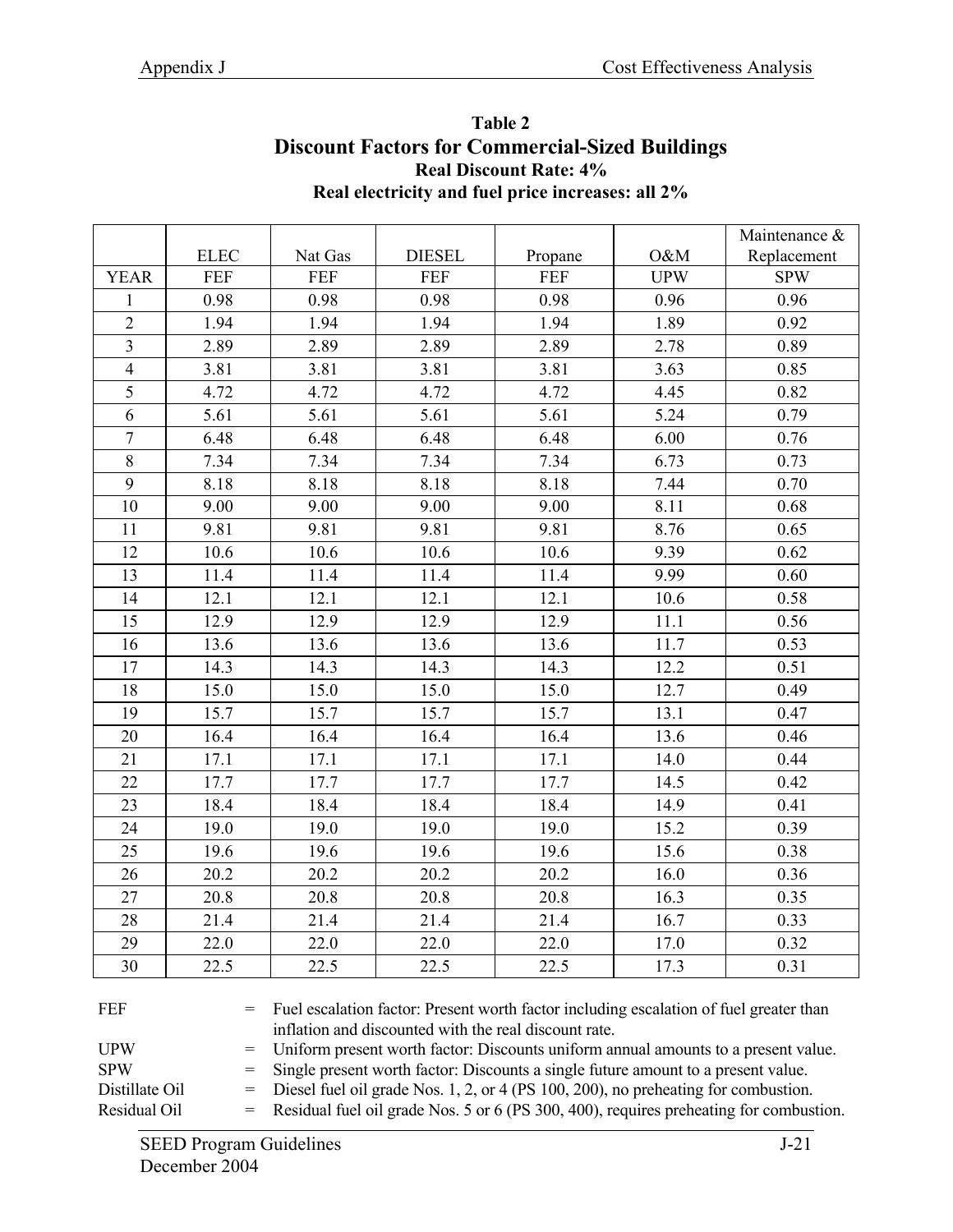| <b>Real Discount Rate: 4%</b><br>Real electricity and fuel price increases: all 2% |             |            |               |            |            |               |  |
|------------------------------------------------------------------------------------|-------------|------------|---------------|------------|------------|---------------|--|
|                                                                                    |             |            |               |            |            | Maintenance & |  |
|                                                                                    | <b>ELEC</b> | Nat Gas    | <b>DIESEL</b> | Propane    | O&M        | Replacement   |  |
| <b>YEAR</b>                                                                        | <b>FEF</b>  | <b>FEF</b> | <b>FEF</b>    | <b>FEF</b> | <b>UPW</b> | <b>SPW</b>    |  |
| $\mathbf{1}$                                                                       | 0.98        | 0.98       | 0.98          | 0.98       | 0.96       | 0.96          |  |
| $\overline{2}$                                                                     | 1.94        | 1.94       | 1.94          | 1.94       | 1.89       | 0.92          |  |
| $\overline{3}$                                                                     | 2.89        | 2.89       | 2.89          | 2.89       | 2.78       | 0.89          |  |
| $\overline{4}$                                                                     | 3.81        | 3.81       | 3.81          | 3.81       | 3.63       | 0.85          |  |
| 5                                                                                  | 4.72        | 4.72       | 4.72          | 4.72       | 4.45       | 0.82          |  |
| 6                                                                                  | 5.61        | 5.61       | 5.61          | 5.61       | 5.24       | 0.79          |  |
| $\tau$                                                                             | 6.48        | 6.48       | 6.48          | 6.48       | 6.00       | 0.76          |  |
| $8\,$                                                                              | 7.34        | 7.34       | 7.34          | 7.34       | 6.73       | 0.73          |  |
| 9                                                                                  | 8.18        | 8.18       | 8.18          | 8.18       | 7.44       | 0.70          |  |
| 10                                                                                 | 9.00        | 9.00       | 9.00          | 9.00       | 8.11       | 0.68          |  |
| 11                                                                                 | 9.81        | 9.81       | 9.81          | 9.81       | 8.76       | 0.65          |  |
| 12                                                                                 | 10.6        | 10.6       | 10.6          | 10.6       | 9.39       | 0.62          |  |
| 13                                                                                 | 11.4        | 11.4       | 11.4          | 11.4       | 9.99       | 0.60          |  |
| 14                                                                                 | 12.1        | 12.1       | 12.1          | 12.1       | 10.6       | 0.58          |  |
| 15                                                                                 | 12.9        | 12.9       | 12.9          | 12.9       | 11.1       | 0.56          |  |
| 16                                                                                 | 13.6        | 13.6       | 13.6          | 13.6       | 11.7       | 0.53          |  |
| 17                                                                                 | 14.3        | 14.3       | 14.3          | 14.3       | 12.2       | 0.51          |  |
| 18                                                                                 | 15.0        | 15.0       | 15.0          | 15.0       | 12.7       | 0.49          |  |
| 19                                                                                 | 15.7        | 15.7       | 15.7          | 15.7       | 13.1       | 0.47          |  |
| 20                                                                                 | 16.4        | 16.4       | 16.4          | 16.4       | 13.6       | 0.46          |  |
| 21                                                                                 | 17.1        | 17.1       | 17.1          | 17.1       | 14.0       | 0.44          |  |
| 22                                                                                 | 17.7        | 17.7       | 17.7          | 17.7       | 14.5       | 0.42          |  |
| 23                                                                                 | 18.4        | 18.4       | 18.4          | 18.4       | 14.9       | 0.41          |  |
| 24                                                                                 | 19.0        | 19.0       | 19.0          | 19.0       | 15.2       | 0.39          |  |
| 25                                                                                 | 19.6        | 19.6       | 19.6          | 19.6       | 15.6       | 0.38          |  |
| 26                                                                                 | 20.2        | 20.2       | 20.2          | 20.2       | 16.0       | 0.36          |  |
| 27                                                                                 | 20.8        | 20.8       | 20.8          | 20.8       | 16.3       | 0.35          |  |
| 28                                                                                 | 21.4        | 21.4       | 21.4          | 21.4       | 16.7       | 0.33          |  |
| 29                                                                                 | 22.0        | 22.0       | 22.0          | 22.0       | 17.0       | 0.32          |  |
| 30                                                                                 | 22.5        | 22.5       | 22.5          | 22.5       | 17.3       | 0.31          |  |

# **Table 2 Discount Factors for Commercial-Sized Buildings**

FEF = Fuel escalation factor: Present worth factor including escalation of fuel greater than inflation and discounted with the real discount rate.

UPW = Uniform present worth factor: Discounts uniform annual amounts to a present value.

SPW = Single present worth factor: Discounts a single future amount to a present value.

Distillate Oil = Diesel fuel oil grade Nos. 1, 2, or 4 (PS 100, 200), no preheating for combustion.

Residual Oil = Residual fuel oil grade Nos. 5 or 6 (PS 300, 400), requires preheating for combustion.